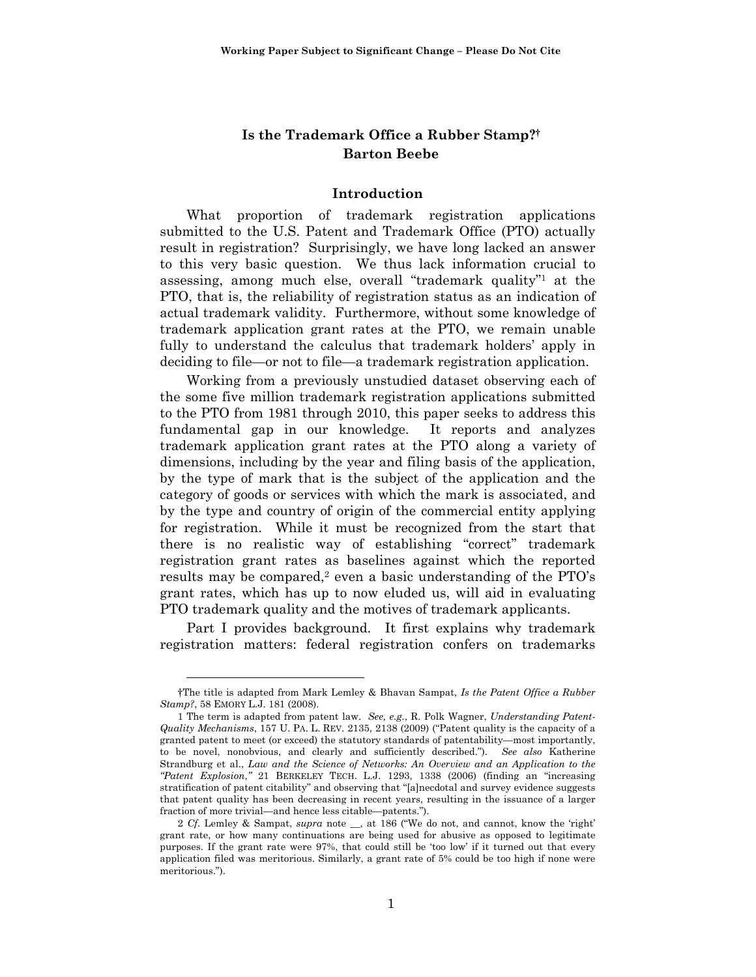# **Is the Trademark Office a Rubber Stamp?† Barton Beebe**

#### **Introduction**

What proportion of trademark registration applications submitted to the U.S. Patent and Trademark Office (PTO) actually result in registration? Surprisingly, we have long lacked an answer to this very basic question. We thus lack information crucial to assessing, among much else, overall "trademark quality"1 at the PTO, that is, the reliability of registration status as an indication of actual trademark validity. Furthermore, without some knowledge of trademark application grant rates at the PTO, we remain unable fully to understand the calculus that trademark holders' apply in deciding to file—or not to file—a trademark registration application.

Working from a previously unstudied dataset observing each of the some five million trademark registration applications submitted to the PTO from 1981 through 2010, this paper seeks to address this fundamental gap in our knowledge. It reports and analyzes trademark application grant rates at the PTO along a variety of dimensions, including by the year and filing basis of the application, by the type of mark that is the subject of the application and the category of goods or services with which the mark is associated, and by the type and country of origin of the commercial entity applying for registration. While it must be recognized from the start that there is no realistic way of establishing "correct" trademark registration grant rates as baselines against which the reported results may be compared,<sup>2</sup> even a basic understanding of the  $PTO's$ grant rates, which has up to now eluded us, will aid in evaluating PTO trademark quality and the motives of trademark applicants.

Part I provides background. It first explains why trademark registration matters: federal registration confers on trademarks

<sup>†</sup>The title is adapted from Mark Lemley & Bhavan Sampat, *Is the Patent Office a Rubber Stamp?*, 58 EMORY L.J. 181 (2008).

<sup>1</sup> The term is adapted from patent law. *See, e.g*., R. Polk Wagner, *Understanding Patent-Quality Mechanisms*, 157 U. PA. L. REV. 2135, 2138 (2009) ("Patent quality is the capacity of a granted patent to meet (or exceed) the statutory standards of patentability—most importantly, to be novel, nonobvious, and clearly and sufficiently described."). *See also* Katherine Strandburg et al., *Law and the Science of Networks: An Overview and an Application to the "Patent Explosion*,*"* 21 BERKELEY TECH. L.J. 1293, 1338 (2006) (finding an "increasing stratification of patent citability" and observing that "[a]necdotal and survey evidence suggests that patent quality has been decreasing in recent years, resulting in the issuance of a larger fraction of more trivial—and hence less citable—patents.").

<sup>2</sup> *Cf*. Lemley & Sampat, *supra* note \_\_, at 186 ("We do not, and cannot, know the 'right' grant rate, or how many continuations are being used for abusive as opposed to legitimate purposes. If the grant rate were 97%, that could still be 'too low' if it turned out that every application filed was meritorious. Similarly, a grant rate of 5% could be too high if none were meritorious.").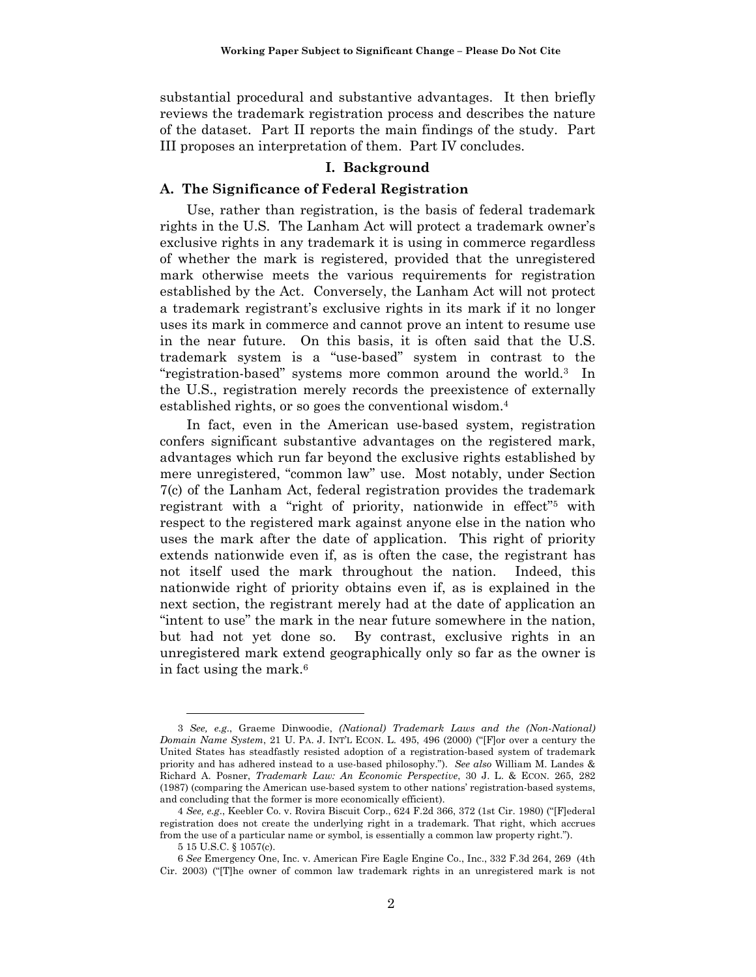substantial procedural and substantive advantages. It then briefly reviews the trademark registration process and describes the nature of the dataset. Part II reports the main findings of the study. Part III proposes an interpretation of them. Part IV concludes.

### **I. Background**

#### **A. The Significance of Federal Registration**

Use, rather than registration, is the basis of federal trademark rights in the U.S. The Lanham Act will protect a trademark owner's exclusive rights in any trademark it is using in commerce regardless of whether the mark is registered, provided that the unregistered mark otherwise meets the various requirements for registration established by the Act. Conversely, the Lanham Act will not protect a trademark registrant's exclusive rights in its mark if it no longer uses its mark in commerce and cannot prove an intent to resume use in the near future. On this basis, it is often said that the U.S. trademark system is a "use-based" system in contrast to the "registration-based" systems more common around the world.3 In the U.S., registration merely records the preexistence of externally established rights, or so goes the conventional wisdom.4

In fact, even in the American use-based system, registration confers significant substantive advantages on the registered mark, advantages which run far beyond the exclusive rights established by mere unregistered, "common law" use. Most notably, under Section 7(c) of the Lanham Act, federal registration provides the trademark registrant with a "right of priority, nationwide in effect"5 with respect to the registered mark against anyone else in the nation who uses the mark after the date of application. This right of priority extends nationwide even if, as is often the case, the registrant has not itself used the mark throughout the nation. Indeed, this nationwide right of priority obtains even if, as is explained in the next section, the registrant merely had at the date of application an "intent to use" the mark in the near future somewhere in the nation, but had not yet done so. By contrast, exclusive rights in an unregistered mark extend geographically only so far as the owner is in fact using the mark.6

<sup>3</sup> *See, e.g*., Graeme Dinwoodie, *(National) Trademark Laws and the (Non-National) Domain Name System*, 21 U. PA. J. INT'L ECON. L. 495, 496 (2000) ("[F]or over a century the United States has steadfastly resisted adoption of a registration-based system of trademark priority and has adhered instead to a use-based philosophy."). *See also* William M. Landes & Richard A. Posner, *Trademark Law: An Economic Perspective*, 30 J. L. & ECON. 265, 282 (1987) (comparing the American use-based system to other nations' registration-based systems, and concluding that the former is more economically efficient).

<sup>4</sup> *See, e.g*., Keebler Co. v. Rovira Biscuit Corp., 624 F.2d 366, 372 (1st Cir. 1980) ("[F]ederal registration does not create the underlying right in a trademark. That right, which accrues from the use of a particular name or symbol, is essentially a common law property right.").

<sup>5 15</sup> U.S.C. § 1057(c).

<sup>6</sup> *See* Emergency One, Inc. v. American Fire Eagle Engine Co., Inc., 332 F.3d 264, 269 (4th Cir. 2003) ("[T]he owner of common law trademark rights in an unregistered mark is not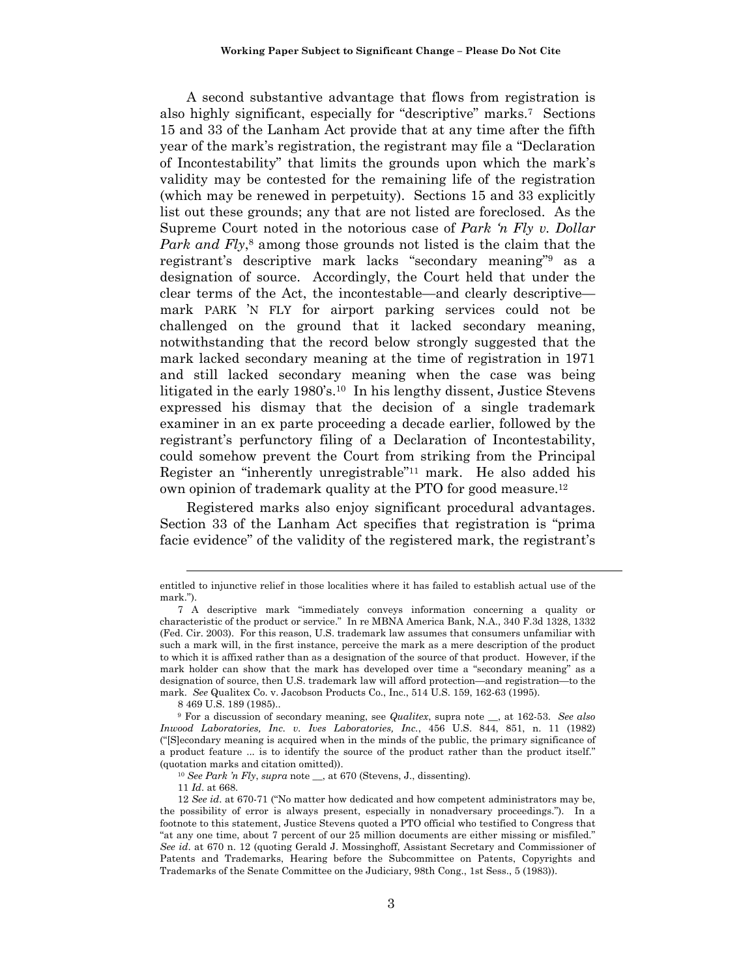A second substantive advantage that flows from registration is also highly significant, especially for "descriptive" marks.7 Sections 15 and 33 of the Lanham Act provide that at any time after the fifth year of the mark's registration, the registrant may file a "Declaration of Incontestability" that limits the grounds upon which the mark's validity may be contested for the remaining life of the registration (which may be renewed in perpetuity). Sections 15 and 33 explicitly list out these grounds; any that are not listed are foreclosed. As the Supreme Court noted in the notorious case of *Park 'n Fly v. Dollar Park and Fly*,<sup>8</sup> among those grounds not listed is the claim that the registrant's descriptive mark lacks "secondary meaning"9 as a designation of source. Accordingly, the Court held that under the clear terms of the Act, the incontestable—and clearly descriptive mark PARK 'N FLY for airport parking services could not be challenged on the ground that it lacked secondary meaning, notwithstanding that the record below strongly suggested that the mark lacked secondary meaning at the time of registration in 1971 and still lacked secondary meaning when the case was being litigated in the early 1980's.<sup>10</sup> In his lengthy dissent, Justice Stevens expressed his dismay that the decision of a single trademark examiner in an ex parte proceeding a decade earlier, followed by the registrant's perfunctory filing of a Declaration of Incontestability, could somehow prevent the Court from striking from the Principal Register an "inherently unregistrable"11 mark. He also added his own opinion of trademark quality at the PTO for good measure.12

Registered marks also enjoy significant procedural advantages. Section 33 of the Lanham Act specifies that registration is "prima facie evidence" of the validity of the registered mark, the registrant's

8 469 U.S. 189 (1985)..

11 *Id*. at 668.

entitled to injunctive relief in those localities where it has failed to establish actual use of the mark.").

<sup>7</sup> A descriptive mark "immediately conveys information concerning a quality or characteristic of the product or service." In re MBNA America Bank, N.A., 340 F.3d 1328, 1332 (Fed. Cir. 2003). For this reason, U.S. trademark law assumes that consumers unfamiliar with such a mark will, in the first instance, perceive the mark as a mere description of the product to which it is affixed rather than as a designation of the source of that product. However, if the mark holder can show that the mark has developed over time a "secondary meaning" as a designation of source, then U.S. trademark law will afford protection—and registration—to the mark. *See* Qualitex Co. v. Jacobson Products Co., Inc., 514 U.S. 159, 162-63 (1995).

<sup>9</sup> For a discussion of secondary meaning, see *Qualitex*, supra note \_\_, at 162-53. *See also Inwood Laboratories, Inc. v. Ives Laboratories, Inc.*, 456 U.S. 844, 851, n. 11 (1982) ("[S]econdary meaning is acquired when in the minds of the public, the primary significance of a product feature ... is to identify the source of the product rather than the product itself." (quotation marks and citation omitted)). 10 *See Park 'n Fly*, *supra* note \_\_, at 670 (Stevens, J., dissenting).

<sup>12</sup> *See id*. at 670-71 ("No matter how dedicated and how competent administrators may be, the possibility of error is always present, especially in nonadversary proceedings."). In a footnote to this statement, Justice Stevens quoted a PTO official who testified to Congress that "at any one time, about 7 percent of our 25 million documents are either missing or misfiled." *See id*. at 670 n. 12 (quoting Gerald J. Mossinghoff, Assistant Secretary and Commissioner of Patents and Trademarks, Hearing before the Subcommittee on Patents, Copyrights and Trademarks of the Senate Committee on the Judiciary, 98th Cong., 1st Sess., 5 (1983)).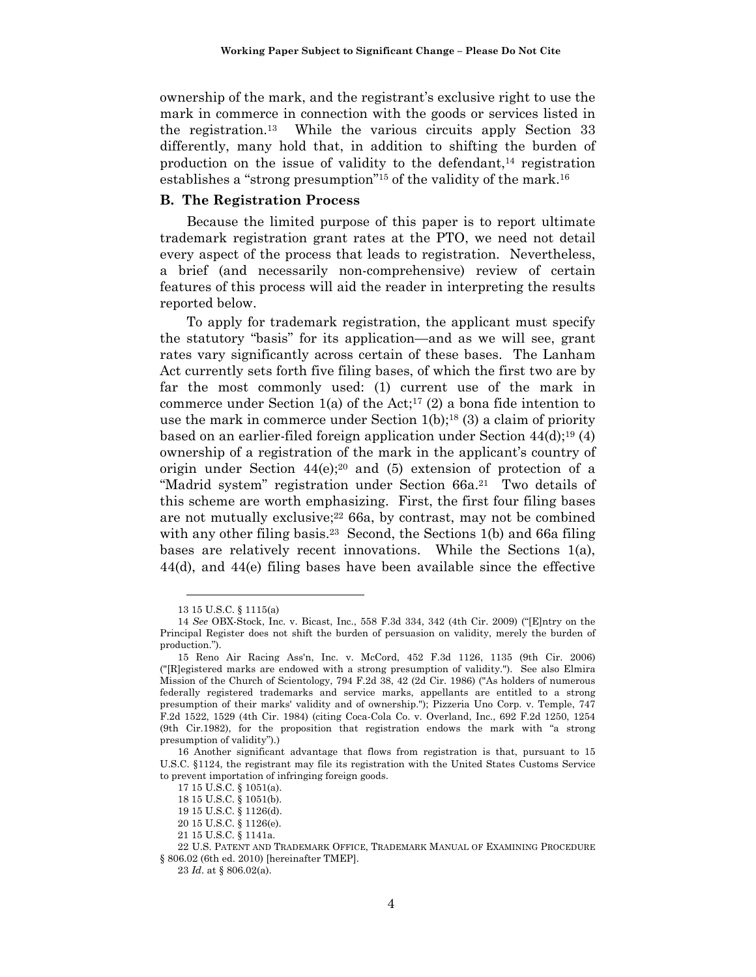ownership of the mark, and the registrant's exclusive right to use the mark in commerce in connection with the goods or services listed in the registration.13 While the various circuits apply Section 33 differently, many hold that, in addition to shifting the burden of production on the issue of validity to the defendant, $14$  registration establishes a "strong presumption"15 of the validity of the mark.16

### **B. The Registration Process**

Because the limited purpose of this paper is to report ultimate trademark registration grant rates at the PTO, we need not detail every aspect of the process that leads to registration. Nevertheless, a brief (and necessarily non-comprehensive) review of certain features of this process will aid the reader in interpreting the results reported below.

To apply for trademark registration, the applicant must specify the statutory "basis" for its application—and as we will see, grant rates vary significantly across certain of these bases. The Lanham Act currently sets forth five filing bases, of which the first two are by far the most commonly used: (1) current use of the mark in commerce under Section 1(a) of the Act;<sup>17</sup> (2) a bona fide intention to use the mark in commerce under Section  $1(b)$ ;<sup>18</sup> (3) a claim of priority based on an earlier-filed foreign application under Section  $44(d)$ ;<sup>19</sup> (4) ownership of a registration of the mark in the applicant's country of origin under Section  $44(e)$ ;<sup>20</sup> and  $(5)$  extension of protection of a "Madrid system" registration under Section  $66a<sup>21</sup>$  Two details of this scheme are worth emphasizing. First, the first four filing bases are not mutually exclusive; $2266a$ , by contrast, may not be combined with any other filing basis.<sup>23</sup> Second, the Sections 1(b) and 66a filing bases are relatively recent innovations. While the Sections  $1(a)$ , 44(d), and 44(e) filing bases have been available since the effective

<sup>13 15</sup> U.S.C. § 1115(a)

<sup>14</sup> *See* OBX-Stock, Inc. v. Bicast, Inc., 558 F.3d 334, 342 (4th Cir. 2009) ("[E]ntry on the Principal Register does not shift the burden of persuasion on validity, merely the burden of production.").

<sup>15</sup> Reno Air Racing Ass'n, Inc. v. McCord, 452 F.3d 1126, 1135 (9th Cir. 2006) ("[R]egistered marks are endowed with a strong presumption of validity."). See also Elmira Mission of the Church of Scientology, 794 F.2d 38, 42 (2d Cir. 1986) ("As holders of numerous federally registered trademarks and service marks, appellants are entitled to a strong presumption of their marks' validity and of ownership."); Pizzeria Uno Corp. v. Temple, 747 F.2d 1522, 1529 (4th Cir. 1984) (citing Coca-Cola Co. v. Overland, Inc., 692 F.2d 1250, 1254 (9th Cir.1982), for the proposition that registration endows the mark with "a strong presumption of validity").)

<sup>16</sup> Another significant advantage that flows from registration is that, pursuant to 15 U.S.C. §1124, the registrant may file its registration with the United States Customs Service to prevent importation of infringing foreign goods.

<sup>17 15</sup> U.S.C. § 1051(a).

<sup>18 15</sup> U.S.C. § 1051(b).

<sup>19 15</sup> U.S.C. § 1126(d).

<sup>20 15</sup> U.S.C. § 1126(e).

<sup>21 15</sup> U.S.C. § 1141a.

<sup>22</sup> U.S. PATENT AND TRADEMARK OFFICE, TRADEMARK MANUAL OF EXAMINING PROCEDURE § 806.02 (6th ed. 2010) [hereinafter TMEP].

<sup>23</sup> *Id*. at § 806.02(a).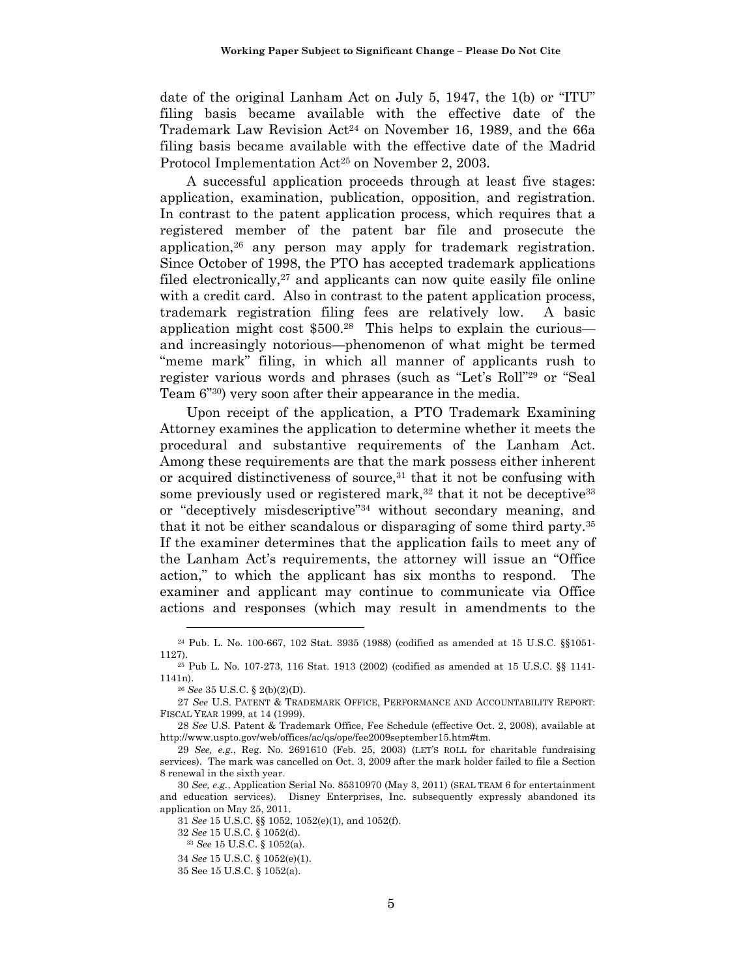date of the original Lanham Act on July 5, 1947, the 1(b) or "ITU" filing basis became available with the effective date of the Trademark Law Revision Act<sup>24</sup> on November 16, 1989, and the 66a filing basis became available with the effective date of the Madrid Protocol Implementation Act<sup>25</sup> on November 2, 2003.

A successful application proceeds through at least five stages: application, examination, publication, opposition, and registration. In contrast to the patent application process, which requires that a registered member of the patent bar file and prosecute the application,26 any person may apply for trademark registration. Since October of 1998, the PTO has accepted trademark applications filed electronically, $27$  and applicants can now quite easily file online with a credit card. Also in contrast to the patent application process, trademark registration filing fees are relatively low. A basic application might cost  $$500<sup>28</sup>$  This helps to explain the curious and increasingly notorious—phenomenon of what might be termed "meme mark" filing, in which all manner of applicants rush to register various words and phrases (such as "Let's Roll"29 or "Seal Team 6"30) very soon after their appearance in the media.

Upon receipt of the application, a PTO Trademark Examining Attorney examines the application to determine whether it meets the procedural and substantive requirements of the Lanham Act. Among these requirements are that the mark possess either inherent or acquired distinctiveness of source, $31$  that it not be confusing with some previously used or registered mark,<sup>32</sup> that it not be deceptive<sup>33</sup> or "deceptively misdescriptive"34 without secondary meaning, and that it not be either scandalous or disparaging of some third party.35 If the examiner determines that the application fails to meet any of the Lanham Act's requirements, the attorney will issue an "Office action," to which the applicant has six months to respond. The examiner and applicant may continue to communicate via Office actions and responses (which may result in amendments to the

 $\overline{a}$ 

28 *See* U.S. Patent & Trademark Office, Fee Schedule (effective Oct. 2, 2008), available at http://www.uspto.gov/web/offices/ac/qs/ope/fee2009september15.htm#tm.

31 *See* 15 U.S.C. §§ 1052, 1052(e)(1), and 1052(f).

<sup>24</sup> Pub. L. No. 100-667, 102 Stat. 3935 (1988) (codified as amended at 15 U.S.C. §§1051- 1127). 25 Pub L. No. 107-273, 116 Stat. 1913 (2002) (codified as amended at 15 U.S.C. §§ 1141-

<sup>1141</sup>n). 26 *See* 35 U.S.C. § 2(b)(2)(D).

<sup>27</sup> *See* U.S. PATENT & TRADEMARK OFFICE, PERFORMANCE AND ACCOUNTABILITY REPORT: FISCAL YEAR 1999, at 14 (1999).

<sup>29</sup> *See, e.g*., Reg. No. 2691610 (Feb. 25, 2003) (LET'S ROLL for charitable fundraising services). The mark was cancelled on Oct. 3, 2009 after the mark holder failed to file a Section 8 renewal in the sixth year.

<sup>30</sup> *See, e.g.*, Application Serial No. 85310970 (May 3, 2011) (SEAL TEAM 6 for entertainment and education services). Disney Enterprises, Inc. subsequently expressly abandoned its application on May 25, 2011.

<sup>32</sup>*See* 15 U.S.C. § 1052(d). 33 *See* 15 U.S.C. § 1052(a).

<sup>34</sup> *See* 15 U.S.C. § 1052(e)(1).

<sup>35</sup> See 15 U.S.C. § 1052(a).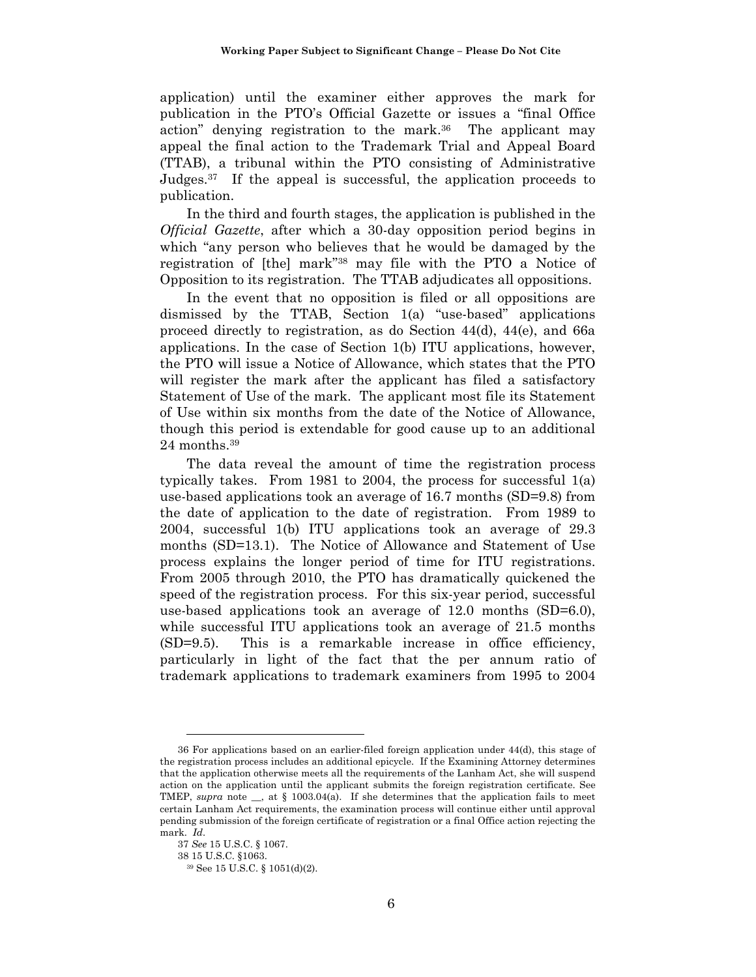application) until the examiner either approves the mark for publication in the PTO's Official Gazette or issues a "final Office action" denying registration to the mark.<sup>36</sup> The applicant may appeal the final action to the Trademark Trial and Appeal Board (TTAB), a tribunal within the PTO consisting of Administrative Judges.37 If the appeal is successful, the application proceeds to publication.

In the third and fourth stages, the application is published in the *Official Gazette*, after which a 30-day opposition period begins in which "any person who believes that he would be damaged by the registration of [the] mark"38 may file with the PTO a Notice of Opposition to its registration. The TTAB adjudicates all oppositions.

In the event that no opposition is filed or all oppositions are dismissed by the TTAB, Section 1(a) "use-based" applications proceed directly to registration, as do Section 44(d), 44(e), and 66a applications. In the case of Section 1(b) ITU applications, however, the PTO will issue a Notice of Allowance, which states that the PTO will register the mark after the applicant has filed a satisfactory Statement of Use of the mark. The applicant most file its Statement of Use within six months from the date of the Notice of Allowance, though this period is extendable for good cause up to an additional 24 months.39

The data reveal the amount of time the registration process typically takes. From 1981 to 2004, the process for successful 1(a) use-based applications took an average of 16.7 months (SD=9.8) from the date of application to the date of registration. From 1989 to 2004, successful 1(b) ITU applications took an average of 29.3 months (SD=13.1). The Notice of Allowance and Statement of Use process explains the longer period of time for ITU registrations. From 2005 through 2010, the PTO has dramatically quickened the speed of the registration process. For this six-year period, successful use-based applications took an average of 12.0 months (SD=6.0), while successful ITU applications took an average of 21.5 months (SD=9.5). This is a remarkable increase in office efficiency, particularly in light of the fact that the per annum ratio of trademark applications to trademark examiners from 1995 to 2004

<sup>36</sup> For applications based on an earlier-filed foreign application under 44(d), this stage of the registration process includes an additional epicycle. If the Examining Attorney determines that the application otherwise meets all the requirements of the Lanham Act, she will suspend action on the application until the applicant submits the foreign registration certificate. See TMEP, *supra* note  $\Box$ , at § 1003.04(a). If she determines that the application fails to meet certain Lanham Act requirements, the examination process will continue either until approval pending submission of the foreign certificate of registration or a final Office action rejecting the mark. *Id*.

<sup>37</sup> *See* 15 U.S.C. § 1067.

<sup>38 15</sup> U.S.C. §1063.

<sup>39</sup> See 15 U.S.C. § 1051(d)(2).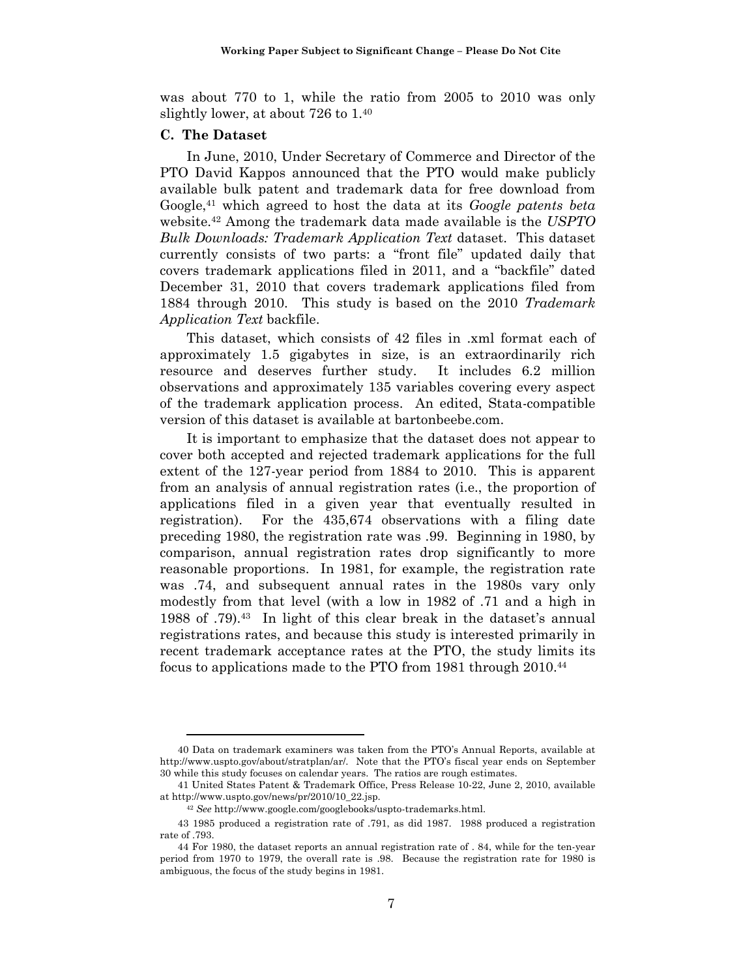was about 770 to 1, while the ratio from 2005 to 2010 was only slightly lower, at about 726 to 1.40

## **C. The Dataset**

In June, 2010, Under Secretary of Commerce and Director of the PTO David Kappos announced that the PTO would make publicly available bulk patent and trademark data for free download from Google,41 which agreed to host the data at its *Google patents beta* website.42 Among the trademark data made available is the *USPTO Bulk Downloads: Trademark Application Text* dataset. This dataset currently consists of two parts: a "front file" updated daily that covers trademark applications filed in 2011, and a "backfile" dated December 31, 2010 that covers trademark applications filed from 1884 through 2010. This study is based on the 2010 *Trademark Application Text* backfile.

This dataset, which consists of 42 files in .xml format each of approximately 1.5 gigabytes in size, is an extraordinarily rich resource and deserves further study. It includes 6.2 million observations and approximately 135 variables covering every aspect of the trademark application process. An edited, Stata-compatible version of this dataset is available at bartonbeebe.com.

It is important to emphasize that the dataset does not appear to cover both accepted and rejected trademark applications for the full extent of the 127-year period from 1884 to 2010. This is apparent from an analysis of annual registration rates (i.e., the proportion of applications filed in a given year that eventually resulted in registration). For the 435,674 observations with a filing date preceding 1980, the registration rate was .99. Beginning in 1980, by comparison, annual registration rates drop significantly to more reasonable proportions. In 1981, for example, the registration rate was .74, and subsequent annual rates in the 1980s vary only modestly from that level (with a low in 1982 of .71 and a high in 1988 of .79).43 In light of this clear break in the dataset's annual registrations rates, and because this study is interested primarily in recent trademark acceptance rates at the PTO, the study limits its focus to applications made to the PTO from 1981 through 2010.44

<sup>40</sup> Data on trademark examiners was taken from the PTO's Annual Reports, available at http://www.uspto.gov/about/stratplan/ar/. Note that the PTO's fiscal year ends on September 30 while this study focuses on calendar years. The ratios are rough estimates.

<sup>41</sup> United States Patent & Trademark Office, Press Release 10-22, June 2, 2010, available at http://www.uspto.gov/news/pr/2010/10\_22.jsp. 42 *See* http://www.google.com/googlebooks/uspto-trademarks.html.

<sup>43 1985</sup> produced a registration rate of .791, as did 1987. 1988 produced a registration rate of .793.

<sup>44</sup> For 1980, the dataset reports an annual registration rate of . 84, while for the ten-year period from 1970 to 1979, the overall rate is .98. Because the registration rate for 1980 is ambiguous, the focus of the study begins in 1981.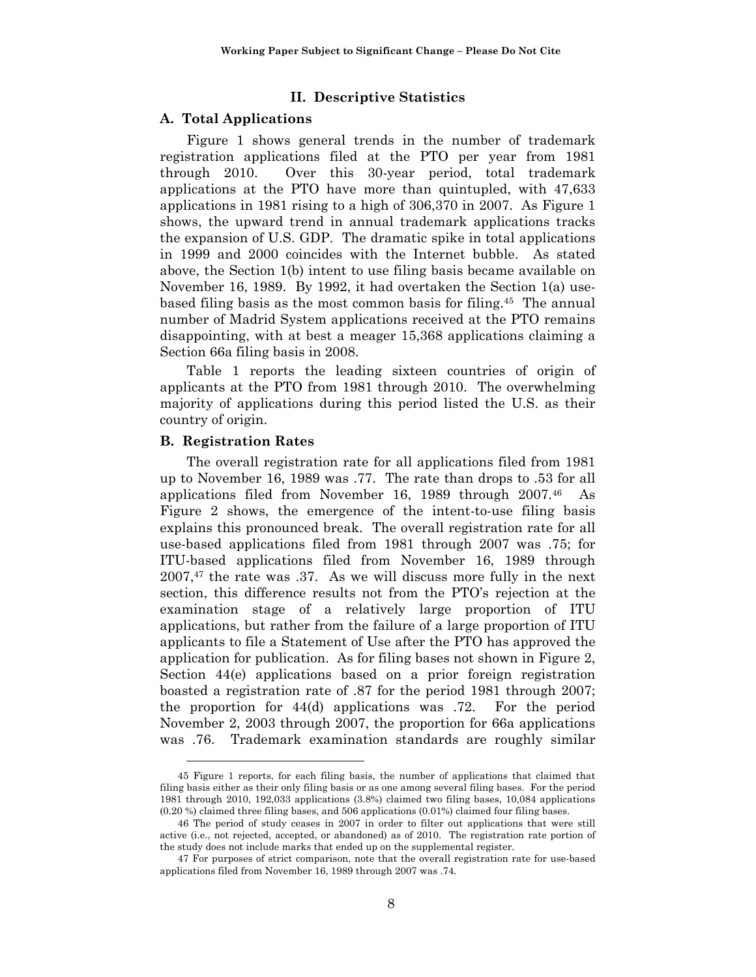#### **II. Descriptive Statistics**

### **A. Total Applications**

Figure 1 shows general trends in the number of trademark registration applications filed at the PTO per year from 1981 through 2010. Over this 30-year period, total trademark applications at the PTO have more than quintupled, with 47,633 applications in 1981 rising to a high of 306,370 in 2007. As Figure 1 shows, the upward trend in annual trademark applications tracks the expansion of U.S. GDP. The dramatic spike in total applications in 1999 and 2000 coincides with the Internet bubble. As stated above, the Section 1(b) intent to use filing basis became available on November 16, 1989. By 1992, it had overtaken the Section 1(a) usebased filing basis as the most common basis for filing.45 The annual number of Madrid System applications received at the PTO remains disappointing, with at best a meager 15,368 applications claiming a Section 66a filing basis in 2008.

Table 1 reports the leading sixteen countries of origin of applicants at the PTO from 1981 through 2010. The overwhelming majority of applications during this period listed the U.S. as their country of origin.

#### **B. Registration Rates**

The overall registration rate for all applications filed from 1981 up to November 16, 1989 was .77. The rate than drops to .53 for all applications filed from November 16, 1989 through 2007.46 As Figure 2 shows, the emergence of the intent-to-use filing basis explains this pronounced break. The overall registration rate for all use-based applications filed from 1981 through 2007 was .75; for ITU-based applications filed from November 16, 1989 through  $2007<sup>47</sup>$ , the rate was .37. As we will discuss more fully in the next section, this difference results not from the PTO's rejection at the examination stage of a relatively large proportion of ITU applications, but rather from the failure of a large proportion of ITU applicants to file a Statement of Use after the PTO has approved the application for publication. As for filing bases not shown in Figure 2, Section 44(e) applications based on a prior foreign registration boasted a registration rate of .87 for the period 1981 through 2007; the proportion for 44(d) applications was .72. For the period November 2, 2003 through 2007, the proportion for 66a applications was .76. Trademark examination standards are roughly similar

<sup>45</sup> Figure 1 reports, for each filing basis, the number of applications that claimed that filing basis either as their only filing basis or as one among several filing bases. For the period 1981 through 2010, 192,033 applications (3.8%) claimed two filing bases, 10,084 applications (0.20 %) claimed three filing bases, and 506 applications (0.01%) claimed four filing bases.

<sup>46</sup> The period of study ceases in 2007 in order to filter out applications that were still active (i.e., not rejected, accepted, or abandoned) as of 2010. The registration rate portion of the study does not include marks that ended up on the supplemental register.

<sup>47</sup> For purposes of strict comparison, note that the overall registration rate for use-based applications filed from November 16, 1989 through 2007 was .74.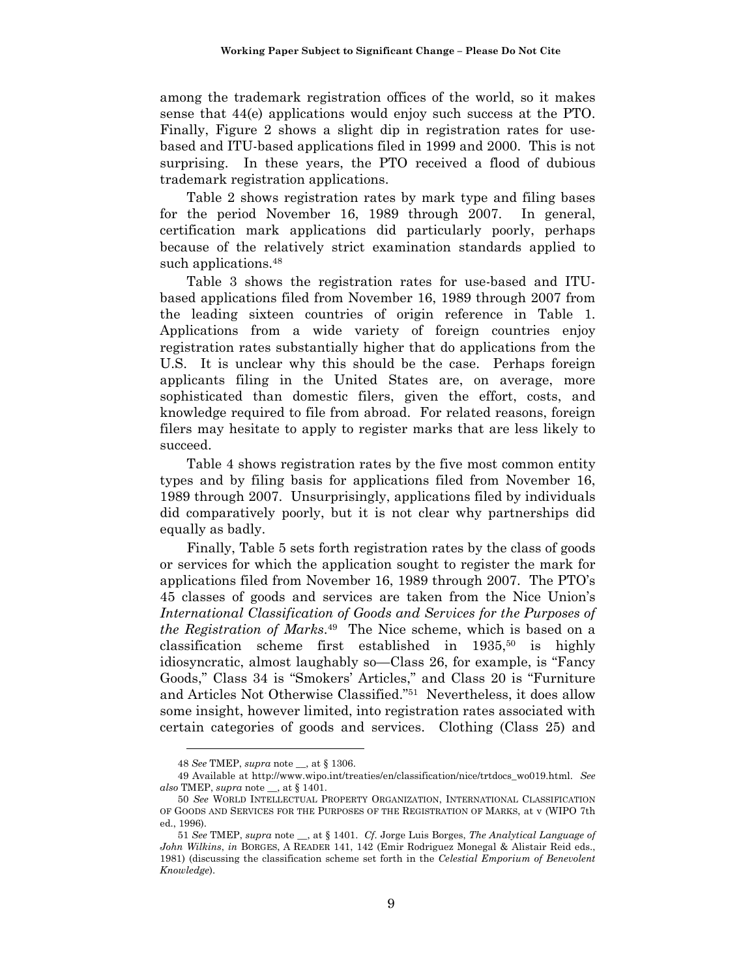among the trademark registration offices of the world, so it makes sense that 44(e) applications would enjoy such success at the PTO. Finally, Figure 2 shows a slight dip in registration rates for usebased and ITU-based applications filed in 1999 and 2000. This is not surprising. In these years, the PTO received a flood of dubious trademark registration applications.

Table 2 shows registration rates by mark type and filing bases for the period November 16, 1989 through 2007. In general, certification mark applications did particularly poorly, perhaps because of the relatively strict examination standards applied to such applications.<sup>48</sup>

Table 3 shows the registration rates for use-based and ITUbased applications filed from November 16, 1989 through 2007 from the leading sixteen countries of origin reference in Table 1. Applications from a wide variety of foreign countries enjoy registration rates substantially higher that do applications from the U.S. It is unclear why this should be the case. Perhaps foreign applicants filing in the United States are, on average, more sophisticated than domestic filers, given the effort, costs, and knowledge required to file from abroad. For related reasons, foreign filers may hesitate to apply to register marks that are less likely to succeed.

Table 4 shows registration rates by the five most common entity types and by filing basis for applications filed from November 16, 1989 through 2007. Unsurprisingly, applications filed by individuals did comparatively poorly, but it is not clear why partnerships did equally as badly.

Finally, Table 5 sets forth registration rates by the class of goods or services for which the application sought to register the mark for applications filed from November 16, 1989 through 2007. The PTO's 45 classes of goods and services are taken from the Nice Union's *International Classification of Goods and Services for the Purposes of the Registration of Marks*.49 The Nice scheme, which is based on a classification scheme first established in  $1935,50$  is highly idiosyncratic, almost laughably so—Class 26, for example, is "Fancy Goods," Class 34 is "Smokers' Articles," and Class 20 is "Furniture and Articles Not Otherwise Classified."51 Nevertheless, it does allow some insight, however limited, into registration rates associated with certain categories of goods and services. Clothing (Class 25) and

<sup>48</sup> *See* TMEP, *supra* note \_\_, at § 1306.

<sup>49</sup> Available at http://www.wipo.int/treaties/en/classification/nice/trtdocs\_wo019.html. *See also* TMEP, *supra* note \_\_, at § 1401.

<sup>50</sup> *See* WORLD INTELLECTUAL PROPERTY ORGANIZATION, INTERNATIONAL CLASSIFICATION OF GOODS AND SERVICES FOR THE PURPOSES OF THE REGISTRATION OF MARKS, at v (WIPO 7th ed., 1996).

<sup>51</sup> *See* TMEP, *supra* note \_\_, at § 1401. *Cf*. Jorge Luis Borges, *The Analytical Language of John Wilkins*, *in* BORGES, A READER 141, 142 (Emir Rodriguez Monegal & Alistair Reid eds., 1981) (discussing the classification scheme set forth in the *Celestial Emporium of Benevolent Knowledge*).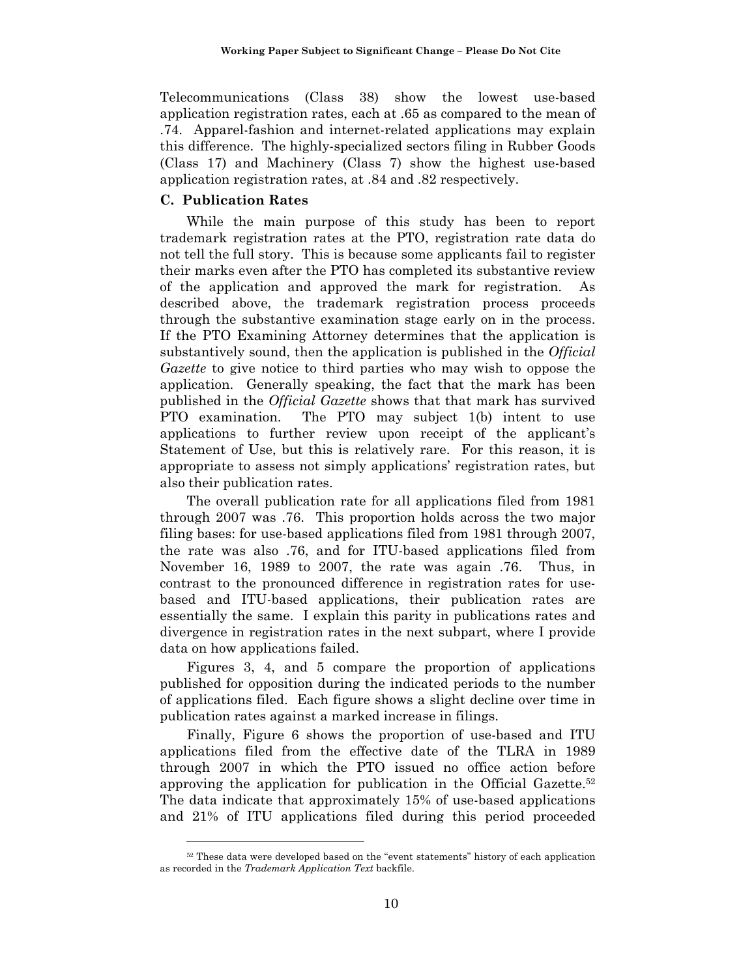Telecommunications (Class 38) show the lowest use-based application registration rates, each at .65 as compared to the mean of .74. Apparel-fashion and internet-related applications may explain this difference. The highly-specialized sectors filing in Rubber Goods (Class 17) and Machinery (Class 7) show the highest use-based application registration rates, at .84 and .82 respectively.

### **C. Publication Rates**

 $\overline{a}$ 

While the main purpose of this study has been to report trademark registration rates at the PTO, registration rate data do not tell the full story. This is because some applicants fail to register their marks even after the PTO has completed its substantive review of the application and approved the mark for registration. As described above, the trademark registration process proceeds through the substantive examination stage early on in the process. If the PTO Examining Attorney determines that the application is substantively sound, then the application is published in the *Official Gazette* to give notice to third parties who may wish to oppose the application. Generally speaking, the fact that the mark has been published in the *Official Gazette* shows that that mark has survived PTO examination. The PTO may subject 1(b) intent to use applications to further review upon receipt of the applicant's Statement of Use, but this is relatively rare. For this reason, it is appropriate to assess not simply applications' registration rates, but also their publication rates.

The overall publication rate for all applications filed from 1981 through 2007 was .76. This proportion holds across the two major filing bases: for use-based applications filed from 1981 through 2007, the rate was also .76, and for ITU-based applications filed from November 16, 1989 to 2007, the rate was again .76. Thus, in contrast to the pronounced difference in registration rates for usebased and ITU-based applications, their publication rates are essentially the same. I explain this parity in publications rates and divergence in registration rates in the next subpart, where I provide data on how applications failed.

Figures 3, 4, and 5 compare the proportion of applications published for opposition during the indicated periods to the number of applications filed. Each figure shows a slight decline over time in publication rates against a marked increase in filings.

Finally, Figure 6 shows the proportion of use-based and ITU applications filed from the effective date of the TLRA in 1989 through 2007 in which the PTO issued no office action before approving the application for publication in the Official Gazette.52 The data indicate that approximately 15% of use-based applications and 21% of ITU applications filed during this period proceeded

<sup>52</sup> These data were developed based on the "event statements" history of each application as recorded in the *Trademark Application Text* backfile.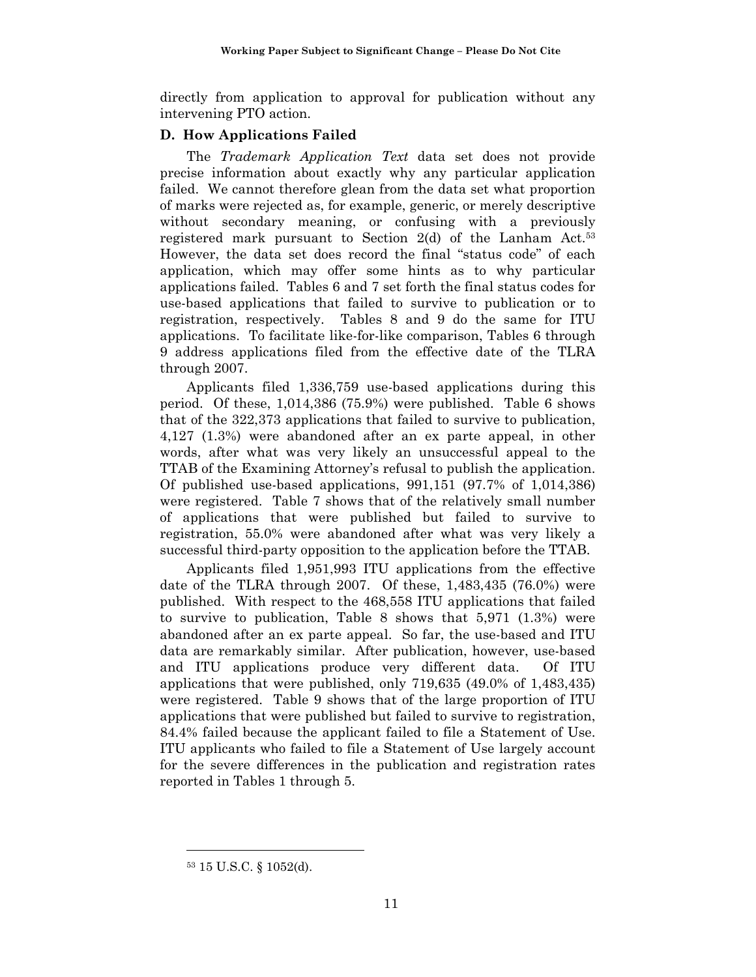directly from application to approval for publication without any intervening PTO action.

## **D. How Applications Failed**

The *Trademark Application Text* data set does not provide precise information about exactly why any particular application failed. We cannot therefore glean from the data set what proportion of marks were rejected as, for example, generic, or merely descriptive without secondary meaning, or confusing with a previously registered mark pursuant to Section 2(d) of the Lanham Act.53 However, the data set does record the final "status code" of each application, which may offer some hints as to why particular applications failed. Tables 6 and 7 set forth the final status codes for use-based applications that failed to survive to publication or to registration, respectively. Tables 8 and 9 do the same for ITU applications. To facilitate like-for-like comparison, Tables 6 through 9 address applications filed from the effective date of the TLRA through 2007.

Applicants filed 1,336,759 use-based applications during this period. Of these, 1,014,386 (75.9%) were published. Table 6 shows that of the 322,373 applications that failed to survive to publication, 4,127 (1.3%) were abandoned after an ex parte appeal, in other words, after what was very likely an unsuccessful appeal to the TTAB of the Examining Attorney's refusal to publish the application. Of published use-based applications, 991,151 (97.7% of 1,014,386) were registered. Table 7 shows that of the relatively small number of applications that were published but failed to survive to registration, 55.0% were abandoned after what was very likely a successful third-party opposition to the application before the TTAB.

Applicants filed 1,951,993 ITU applications from the effective date of the TLRA through 2007. Of these, 1,483,435 (76.0%) were published. With respect to the 468,558 ITU applications that failed to survive to publication, Table 8 shows that 5,971 (1.3%) were abandoned after an ex parte appeal. So far, the use-based and ITU data are remarkably similar. After publication, however, use-based and ITU applications produce very different data. Of ITU applications that were published, only 719,635 (49.0% of 1,483,435) were registered. Table 9 shows that of the large proportion of ITU applications that were published but failed to survive to registration, 84.4% failed because the applicant failed to file a Statement of Use. ITU applicants who failed to file a Statement of Use largely account for the severe differences in the publication and registration rates reported in Tables 1 through 5.

<sup>53 15</sup> U.S.C. § 1052(d).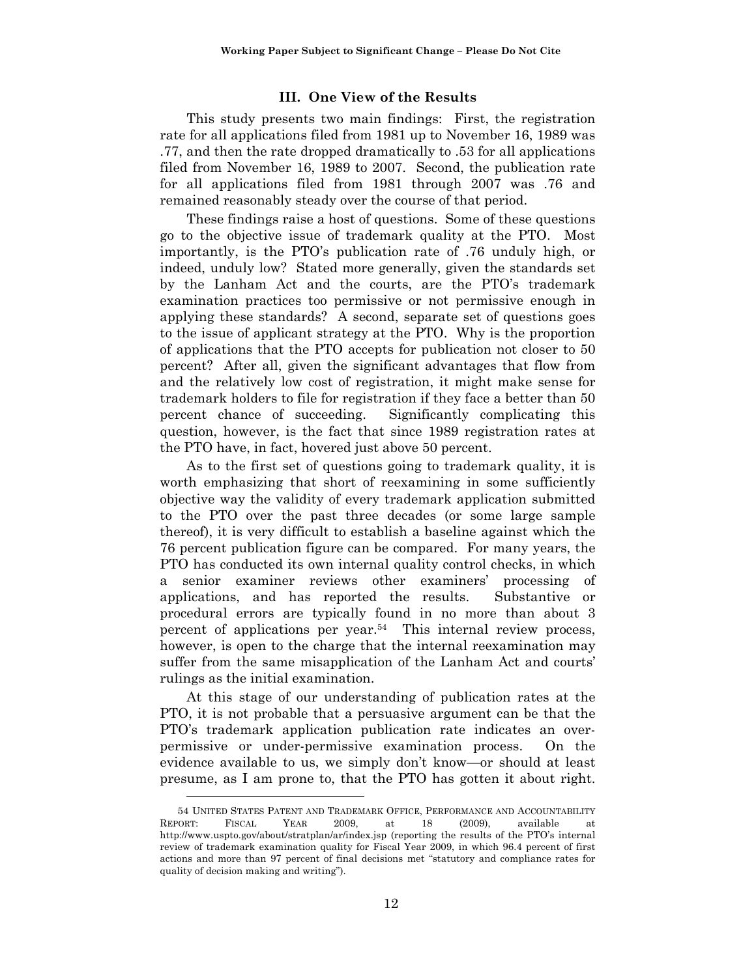### **III. One View of the Results**

This study presents two main findings: First, the registration rate for all applications filed from 1981 up to November 16, 1989 was .77, and then the rate dropped dramatically to .53 for all applications filed from November 16, 1989 to 2007. Second, the publication rate for all applications filed from 1981 through 2007 was .76 and remained reasonably steady over the course of that period.

These findings raise a host of questions. Some of these questions go to the objective issue of trademark quality at the PTO. Most importantly, is the PTO's publication rate of .76 unduly high, or indeed, unduly low? Stated more generally, given the standards set by the Lanham Act and the courts, are the PTO's trademark examination practices too permissive or not permissive enough in applying these standards? A second, separate set of questions goes to the issue of applicant strategy at the PTO. Why is the proportion of applications that the PTO accepts for publication not closer to 50 percent? After all, given the significant advantages that flow from and the relatively low cost of registration, it might make sense for trademark holders to file for registration if they face a better than 50 percent chance of succeeding. Significantly complicating this question, however, is the fact that since 1989 registration rates at the PTO have, in fact, hovered just above 50 percent.

As to the first set of questions going to trademark quality, it is worth emphasizing that short of reexamining in some sufficiently objective way the validity of every trademark application submitted to the PTO over the past three decades (or some large sample thereof), it is very difficult to establish a baseline against which the 76 percent publication figure can be compared. For many years, the PTO has conducted its own internal quality control checks, in which a senior examiner reviews other examiners' processing of applications, and has reported the results. Substantive or procedural errors are typically found in no more than about 3 percent of applications per year.54 This internal review process, however, is open to the charge that the internal reexamination may suffer from the same misapplication of the Lanham Act and courts' rulings as the initial examination.

At this stage of our understanding of publication rates at the PTO, it is not probable that a persuasive argument can be that the PTO's trademark application publication rate indicates an overpermissive or under-permissive examination process. On the evidence available to us, we simply don't know—or should at least presume, as I am prone to, that the PTO has gotten it about right.

<sup>54</sup> UNITED STATES PATENT AND TRADEMARK OFFICE, PERFORMANCE AND ACCOUNTABILITY REPORT: FISCAL YEAR 2009, at 18 (2009), available at http://www.uspto.gov/about/stratplan/ar/index.jsp (reporting the results of the PTO's internal review of trademark examination quality for Fiscal Year 2009, in which 96.4 percent of first actions and more than 97 percent of final decisions met "statutory and compliance rates for quality of decision making and writing").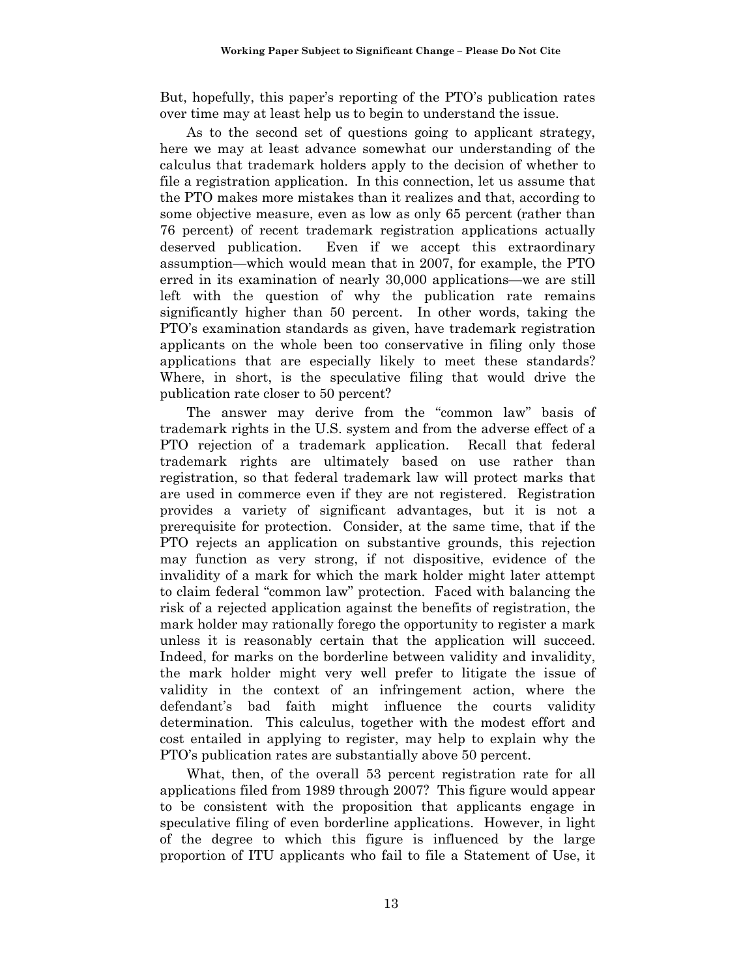But, hopefully, this paper's reporting of the PTO's publication rates over time may at least help us to begin to understand the issue.

As to the second set of questions going to applicant strategy, here we may at least advance somewhat our understanding of the calculus that trademark holders apply to the decision of whether to file a registration application. In this connection, let us assume that the PTO makes more mistakes than it realizes and that, according to some objective measure, even as low as only 65 percent (rather than 76 percent) of recent trademark registration applications actually deserved publication. Even if we accept this extraordinary assumption—which would mean that in 2007, for example, the PTO erred in its examination of nearly 30,000 applications—we are still left with the question of why the publication rate remains significantly higher than 50 percent. In other words, taking the PTO's examination standards as given, have trademark registration applicants on the whole been too conservative in filing only those applications that are especially likely to meet these standards? Where, in short, is the speculative filing that would drive the publication rate closer to 50 percent?

The answer may derive from the "common law" basis of trademark rights in the U.S. system and from the adverse effect of a PTO rejection of a trademark application. Recall that federal trademark rights are ultimately based on use rather than registration, so that federal trademark law will protect marks that are used in commerce even if they are not registered. Registration provides a variety of significant advantages, but it is not a prerequisite for protection. Consider, at the same time, that if the PTO rejects an application on substantive grounds, this rejection may function as very strong, if not dispositive, evidence of the invalidity of a mark for which the mark holder might later attempt to claim federal "common law" protection. Faced with balancing the risk of a rejected application against the benefits of registration, the mark holder may rationally forego the opportunity to register a mark unless it is reasonably certain that the application will succeed. Indeed, for marks on the borderline between validity and invalidity, the mark holder might very well prefer to litigate the issue of validity in the context of an infringement action, where the defendant's bad faith might influence the courts validity determination. This calculus, together with the modest effort and cost entailed in applying to register, may help to explain why the PTO's publication rates are substantially above 50 percent.

What, then, of the overall 53 percent registration rate for all applications filed from 1989 through 2007? This figure would appear to be consistent with the proposition that applicants engage in speculative filing of even borderline applications. However, in light of the degree to which this figure is influenced by the large proportion of ITU applicants who fail to file a Statement of Use, it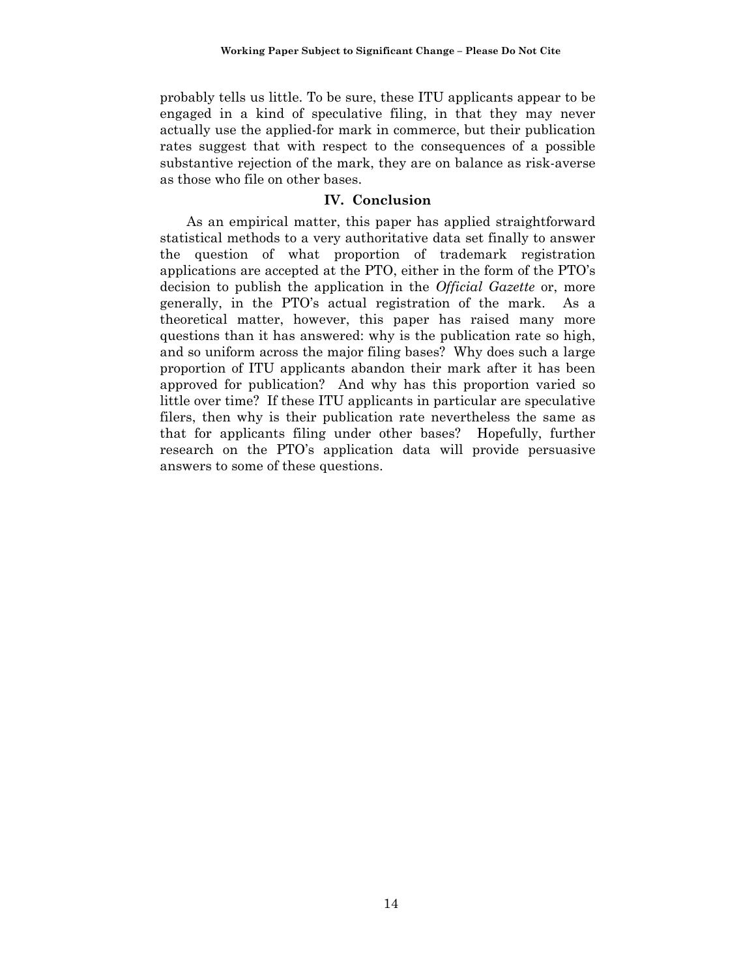probably tells us little. To be sure, these ITU applicants appear to be engaged in a kind of speculative filing, in that they may never actually use the applied-for mark in commerce, but their publication rates suggest that with respect to the consequences of a possible substantive rejection of the mark, they are on balance as risk-averse as those who file on other bases.

### **IV. Conclusion**

As an empirical matter, this paper has applied straightforward statistical methods to a very authoritative data set finally to answer the question of what proportion of trademark registration applications are accepted at the PTO, either in the form of the PTO's decision to publish the application in the *Official Gazette* or, more generally, in the PTO's actual registration of the mark. As a theoretical matter, however, this paper has raised many more questions than it has answered: why is the publication rate so high, and so uniform across the major filing bases? Why does such a large proportion of ITU applicants abandon their mark after it has been approved for publication? And why has this proportion varied so little over time? If these ITU applicants in particular are speculative filers, then why is their publication rate nevertheless the same as that for applicants filing under other bases? Hopefully, further research on the PTO's application data will provide persuasive answers to some of these questions.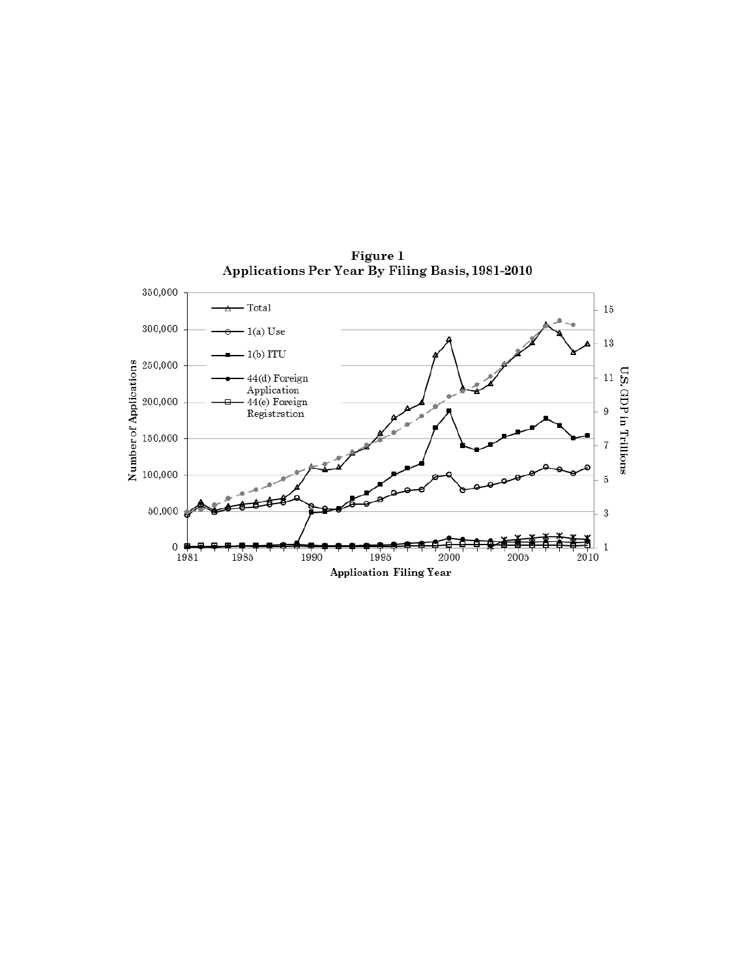

Figure 1<br>Applications Per Year By Filing Basis, 1981-2010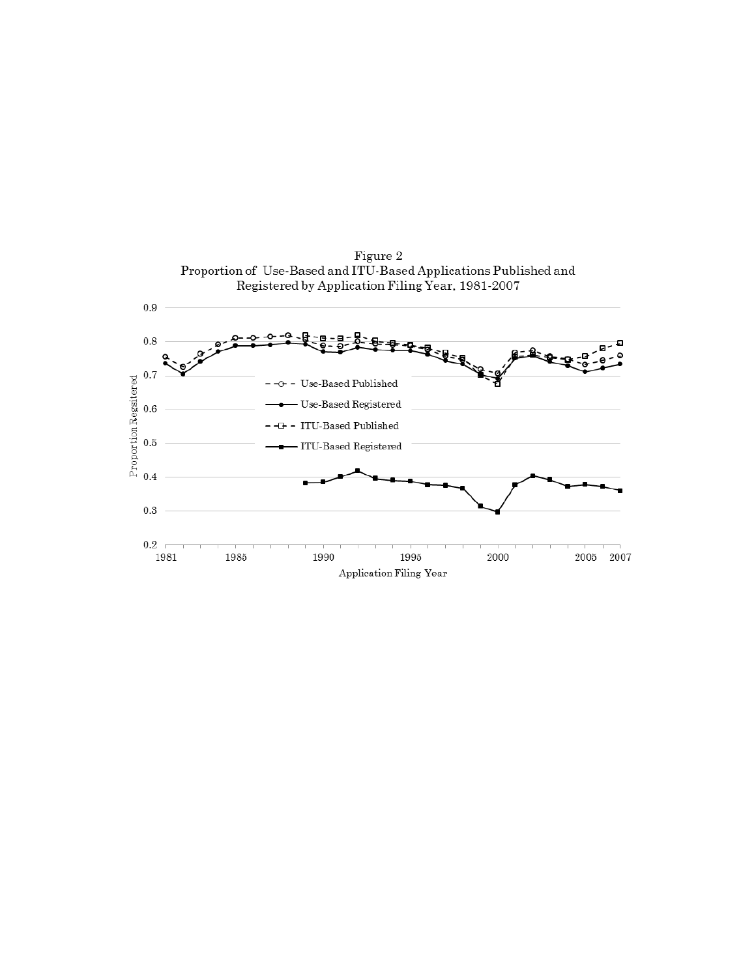

Figure 2<br>Proportion of Use-Based and ITU-Based Applications Published and Registered by Application Filing Year, 1981-2007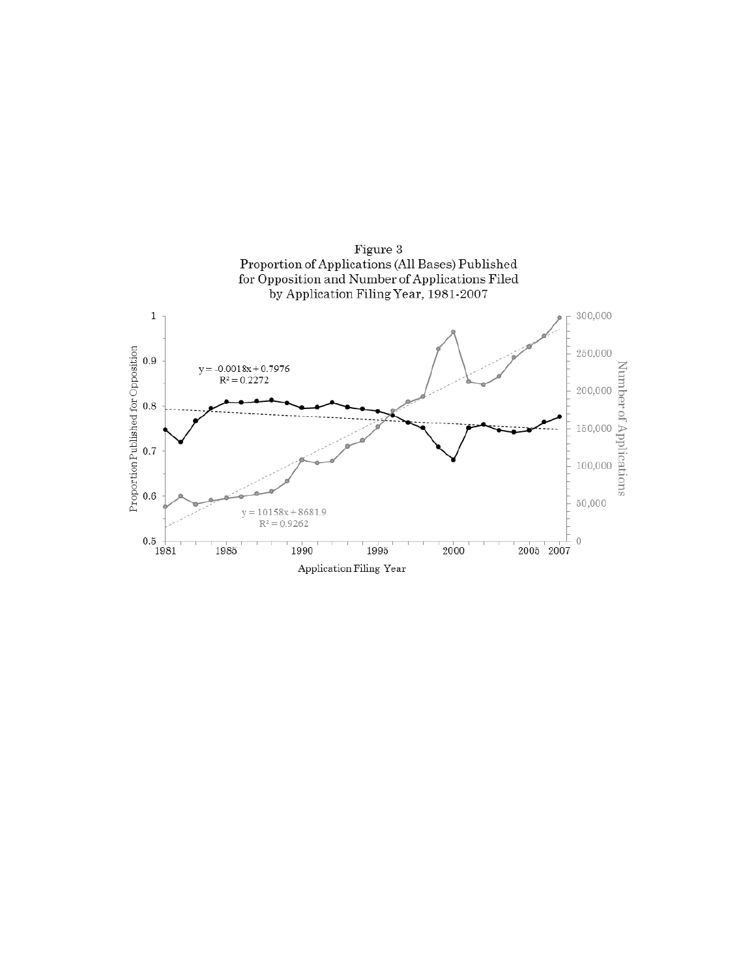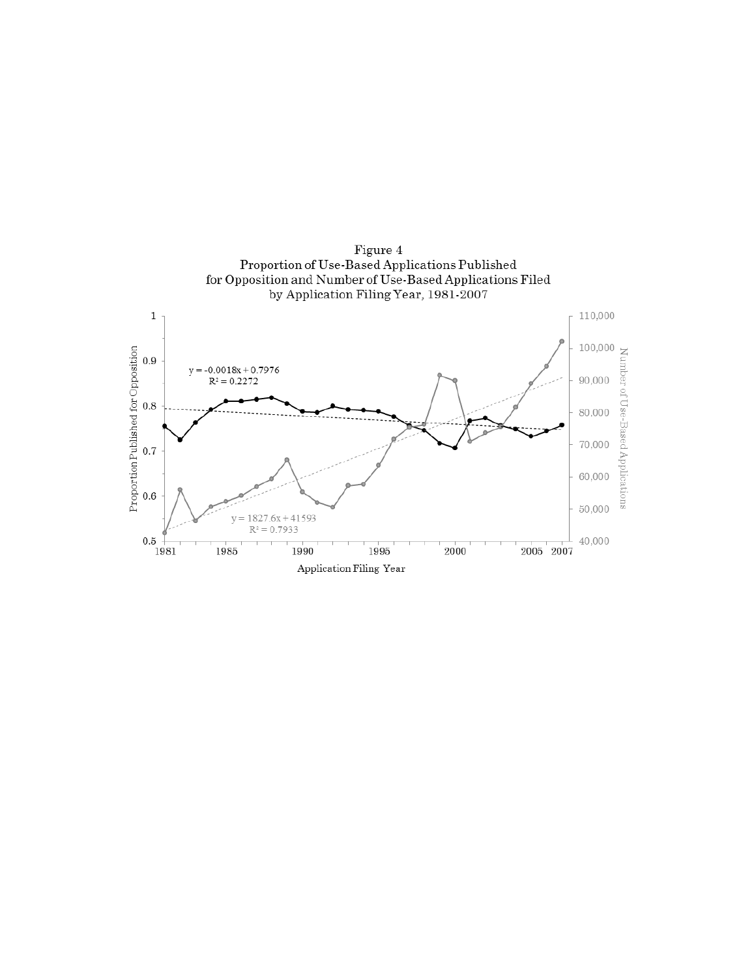

Figure 4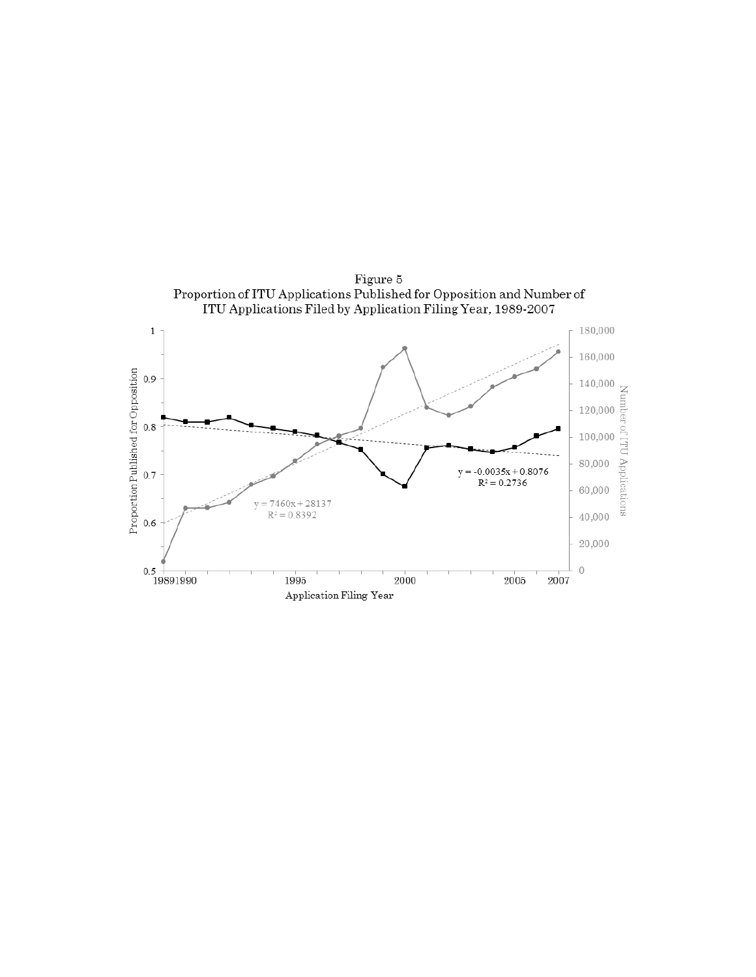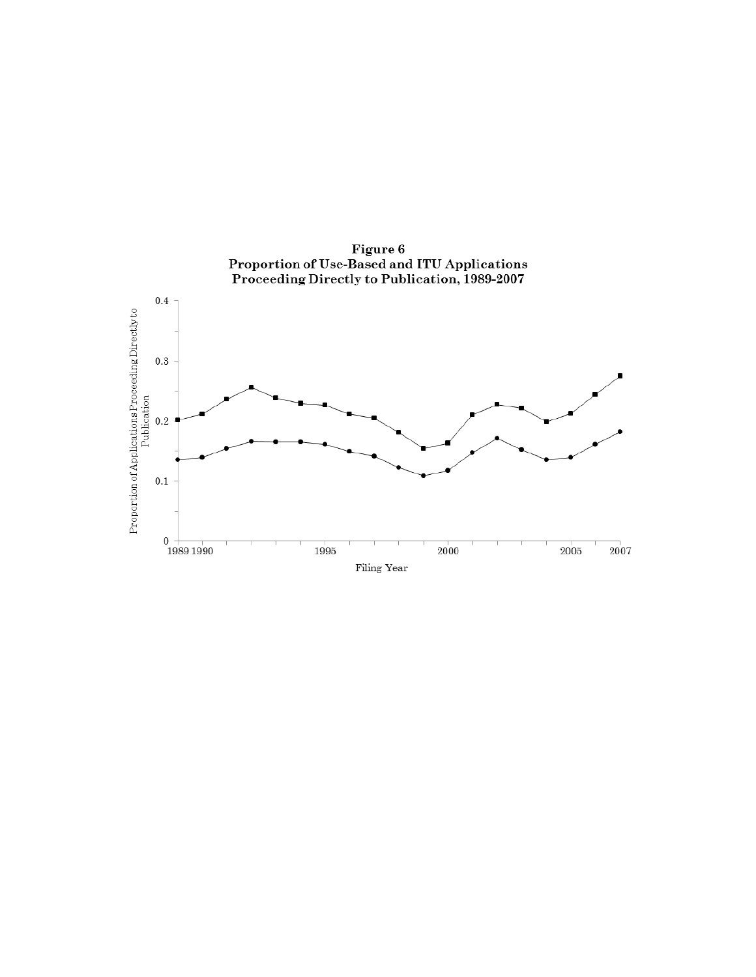

Figure 6<br>Proportion of Use-Based and ITU Applications<br>Proceeding Directly to Publication, 1989-2007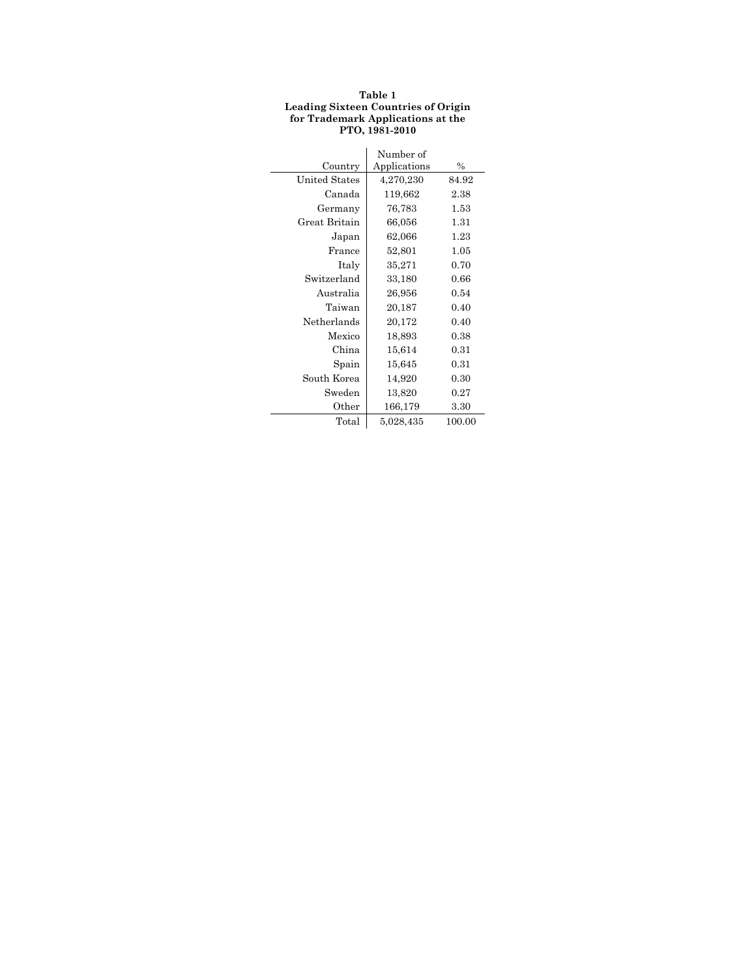#### **Table 1 Leading Sixteen Countries of Origin for Trademark Applications at the PTO, 1981-2010**

|                      | Number of    |               |
|----------------------|--------------|---------------|
| Country              | Applications | $\frac{0}{0}$ |
| <b>United States</b> | 4,270,230    | 84.92         |
| Canada               | 119,662      | 2.38          |
| Germany              | 76,783       | 1.53          |
| Great Britain        | 66,056       | 1.31          |
| Japan                | 62,066       | 1.23          |
| France               | 52,801       | 1.05          |
| Italy                | 35,271       | 0.70          |
| Switzerland          | 33,180       | 0.66          |
| Australia            | 26,956       | 0.54          |
| Taiwan               | 20,187       | 0.40          |
| Netherlands          | 20,172       | 0.40          |
| Mexico               | 18.893       | 0.38          |
| China                | 15,614       | 0.31          |
| Spain                | 15,645       | 0.31          |
| South Korea          | 14,920       | 0.30          |
| Sweden               | 13,820       | 0.27          |
| Other                | 166,179      | 3.30          |
| Total                | 5,028,435    | 100.00        |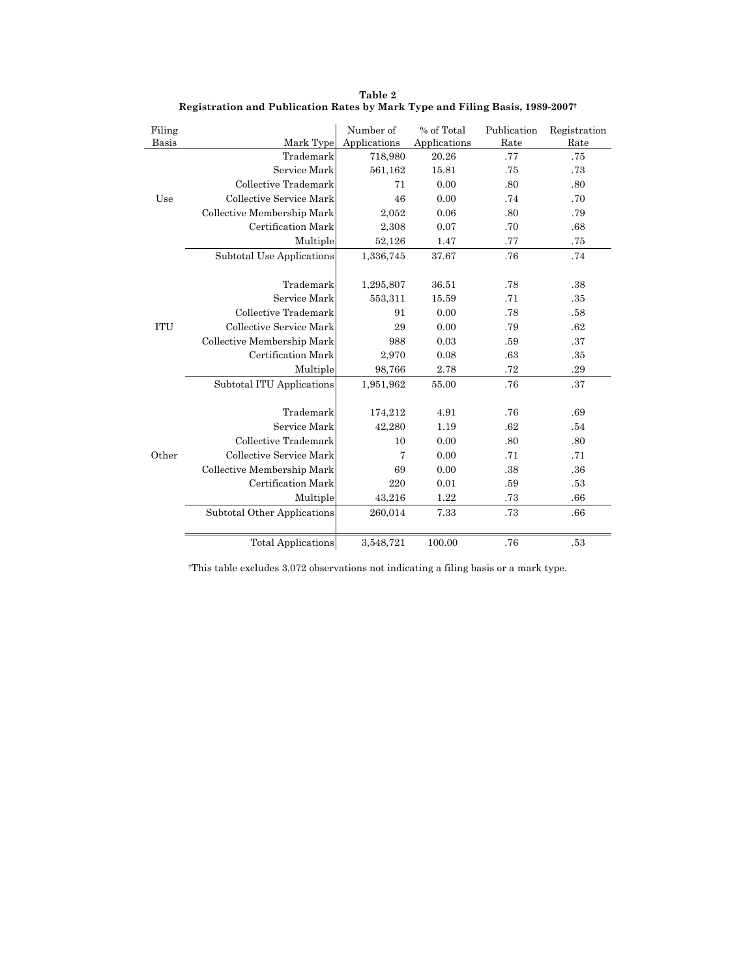| Filing     |                             | Number of      | % of Total   | Publication | Registration |
|------------|-----------------------------|----------------|--------------|-------------|--------------|
| Basis      | Mark Type                   | Applications   | Applications | Rate        | Rate         |
|            | Trademark                   | 718,980        | 20.26        | .77         | .75          |
|            | Service Mark                | 561,162        | 15.81        | .75         | .73          |
|            | Collective Trademark        | 71             | 0.00         | .80         | .80          |
| Use        | Collective Service Mark     | 46             | 0.00         | .74         | .70          |
|            | Collective Membership Mark  | 2,052          | 0.06         | .80         | .79          |
|            | Certification Mark          | 2,308          | 0.07         | .70         | .68          |
|            | Multiple                    | 52,126         | 1.47         | .77         | .75          |
|            | Subtotal Use Applications   | 1,336,745      | 37.67        | .76         | .74          |
|            |                             |                |              |             |              |
|            | Trademark                   | 1,295,807      | 36.51        | .78         | .38          |
|            | Service Mark                | 553,311        | 15.59        | .71         | .35          |
|            | Collective Trademark        | 91             | 0.00         | .78         | .58          |
| <b>ITU</b> | Collective Service Mark     | 29             | 0.00         | .79         | .62          |
|            | Collective Membership Mark  | 988            | 0.03         | .59         | .37          |
|            | Certification Mark          | 2,970          | 0.08         | .63         | .35          |
|            | Multiple                    | 98,766         | 2.78         | .72         | .29          |
|            | Subtotal ITU Applications   | 1,951,962      | 55.00        | .76         | .37          |
|            |                             |                |              |             |              |
|            | Trademark                   | 174,212        | 4.91         | .76         | .69          |
|            | Service Mark                | 42,280         | 1.19         | .62         | .54          |
|            | Collective Trademark        | 10             | 0.00         | .80         | .80          |
| Other      | Collective Service Mark     | $\overline{7}$ | 0.00         | .71         | .71          |
|            | Collective Membership Mark  | 69             | 0.00         | .38         | .36          |
|            | Certification Mark          | 220            | 0.01         | .59         | .53          |
|            | Multiple                    | 43,216         | 1.22         | .73         | .66          |
|            | Subtotal Other Applications | 260,014        | 7.33         | .73         | .66          |
|            |                             |                |              |             |              |
|            | <b>Total Applications</b>   | 3,548,721      | 100.00       | .76         | .53          |

**Table 2 Registration and Publication Rates by Mark Type and Filing Basis, 1989-2007†**

†This table excludes 3,072 observations not indicating a filing basis or a mark type.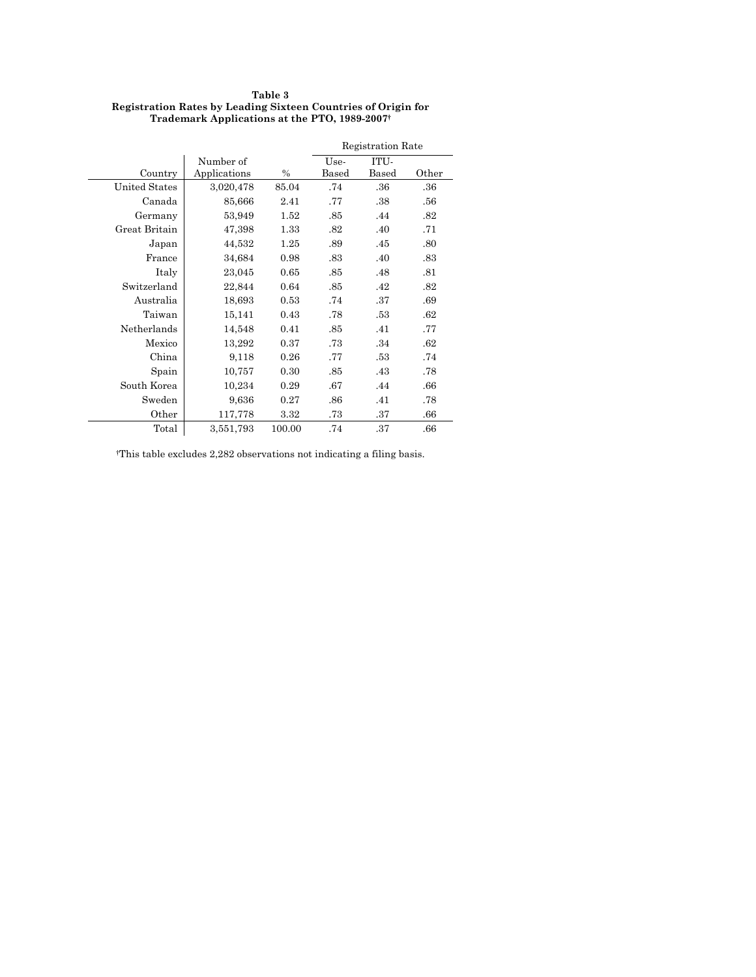#### **Table 3 Registration Rates by Leading Sixteen Countries of Origin for Trademark Applications at the PTO, 1989-2007†**

|                      |              |        | <b>Registration Rate</b> |       |       |
|----------------------|--------------|--------|--------------------------|-------|-------|
|                      | Number of    |        | Use-                     | ITU-  |       |
| Country              | Applications | $\%$   | Based                    | Based | Other |
| <b>United States</b> | 3,020,478    | 85.04  | .74                      | .36   | .36   |
| Canada               | 85,666       | 2.41   | .77                      | .38   | .56   |
| Germany              | 53,949       | 1.52   | .85                      | .44   | .82   |
| Great Britain        | 47,398       | 1.33   | .82                      | .40   | .71   |
| Japan                | 44,532       | 1.25   | .89                      | .45   | .80   |
| France               | 34,684       | 0.98   | .83                      | .40   | .83   |
| Italy                | 23,045       | 0.65   | .85                      | .48   | .81   |
| Switzerland          | 22,844       | 0.64   | .85                      | .42   | .82   |
| Australia            | 18,693       | 0.53   | .74                      | .37   | .69   |
| Taiwan               | 15,141       | 0.43   | .78                      | .53   | .62   |
| Netherlands          | 14,548       | 0.41   | .85                      | .41   | .77   |
| Mexico               | 13,292       | 0.37   | .73                      | .34   | .62   |
| China                | 9,118        | 0.26   | .77                      | .53   | .74   |
| Spain                | 10,757       | 0.30   | .85                      | .43   | .78   |
| South Korea          | 10,234       | 0.29   | .67                      | .44   | .66   |
| Sweden               | 9,636        | 0.27   | .86                      | .41   | .78   |
| Other                | 117,778      | 3.32   | .73                      | .37   | .66   |
| Total                | 3,551,793    | 100.00 | .74                      | .37   | .66   |

†This table excludes 2,282 observations not indicating a filing basis.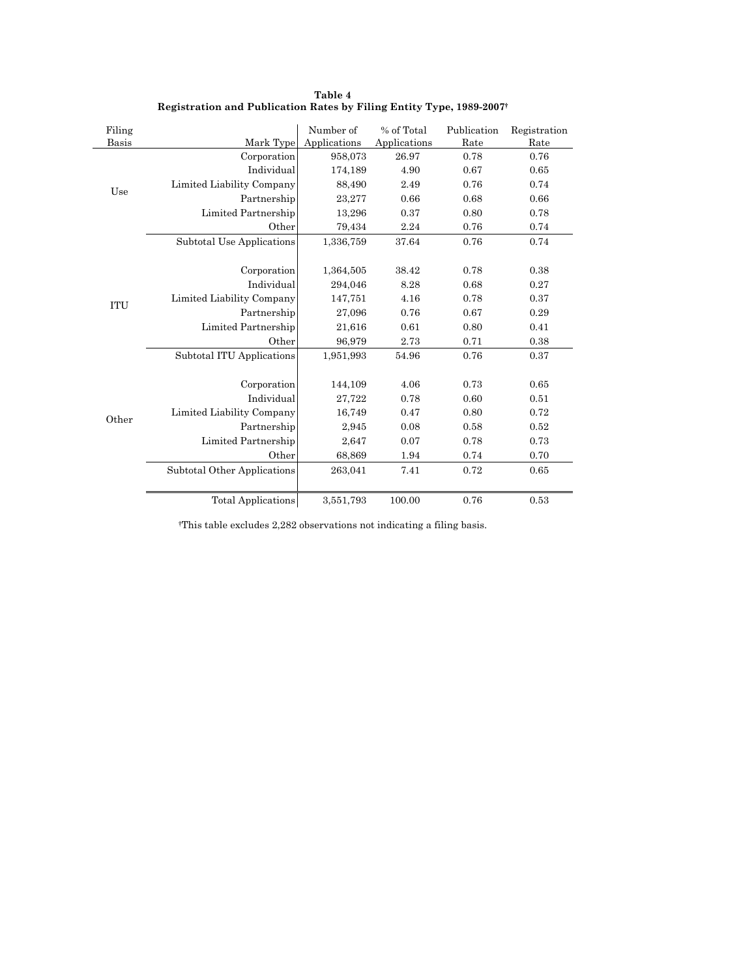| Filing<br>Basis | Mark Type                   | Number of<br>Applications | % of Total<br>Applications | Publication<br>Rate | Registration<br>Rate |
|-----------------|-----------------------------|---------------------------|----------------------------|---------------------|----------------------|
|                 | Corporation                 | 958,073                   | 26.97                      | 0.78                | 0.76                 |
|                 | Individual                  | 174,189                   | 4.90                       | 0.67                | 0.65                 |
|                 | Limited Liability Company   | 88,490                    | 2.49                       | 0.76                | 0.74                 |
| Use             | Partnership                 | 23,277                    | 0.66                       | 0.68                | 0.66                 |
|                 | Limited Partnership         | 13,296                    | 0.37                       | 0.80                | 0.78                 |
|                 | Other                       | 79,434                    | 2.24                       | 0.76                | 0.74                 |
|                 | Subtotal Use Applications   | 1,336,759                 | 37.64                      | 0.76                | 0.74                 |
|                 |                             |                           |                            |                     |                      |
|                 | Corporation                 | 1,364,505                 | 38.42                      | 0.78                | 0.38                 |
|                 | Individual                  | 294,046                   | 8.28                       | 0.68                | 0.27                 |
| <b>ITU</b>      | Limited Liability Company   | 147,751                   | 4.16                       | 0.78                | 0.37                 |
|                 | Partnership                 | 27,096                    | 0.76                       | 0.67                | 0.29                 |
|                 | Limited Partnership         | 21,616                    | 0.61                       | 0.80                | 0.41                 |
|                 | Other                       | 96,979                    | 2.73                       | 0.71                | 0.38                 |
|                 | Subtotal ITU Applications   | 1,951,993                 | 54.96                      | 0.76                | 0.37                 |
|                 | Corporation                 | 144,109                   | 4.06                       | 0.73                | 0.65                 |
|                 | Individual                  | 27,722                    | 0.78                       | 0.60                | 0.51                 |
|                 | Limited Liability Company   | 16,749                    | 0.47                       | 0.80                | 0.72                 |
| Other           | Partnership                 | 2,945                     | 0.08                       | 0.58                | 0.52                 |
|                 | Limited Partnership         | 2,647                     | 0.07                       | 0.78                | 0.73                 |
|                 |                             |                           |                            |                     |                      |
|                 | Other                       | 68,869                    | 1.94                       | 0.74                | 0.70                 |
|                 | Subtotal Other Applications | 263,041                   | 7.41                       | 0.72                | 0.65                 |
|                 | <b>Total Applications</b>   | 3,551,793                 | 100.00                     | 0.76                | 0.53                 |

**Table 4 Registration and Publication Rates by Filing Entity Type, 1989-2007†**

†This table excludes 2,282 observations not indicating a filing basis.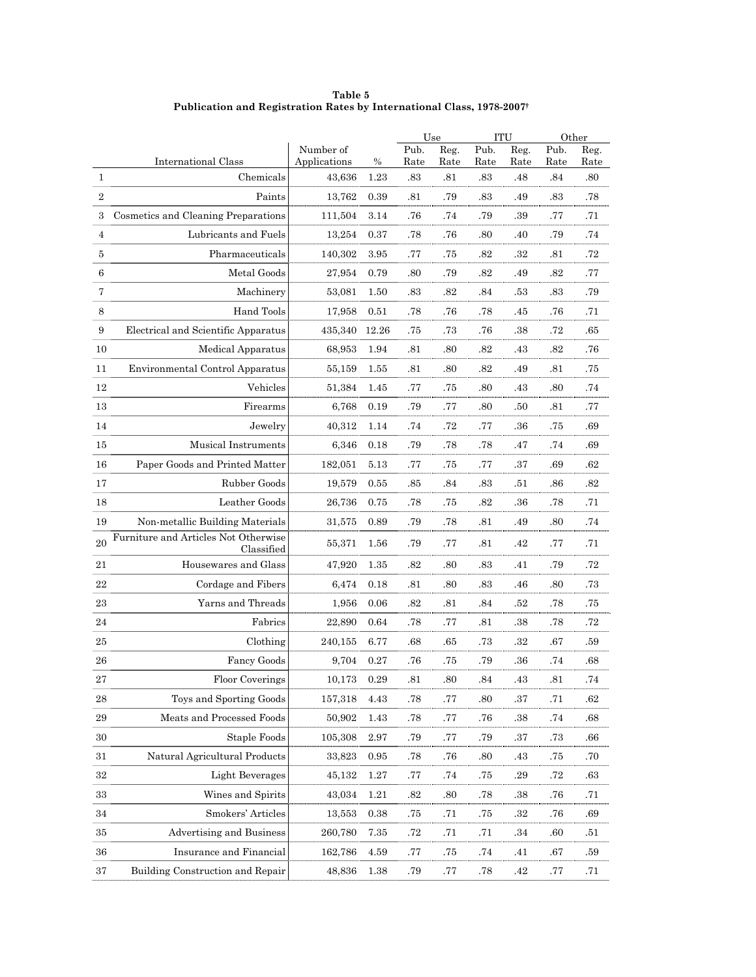**Table 5 Publication and Registration Rates by International Class, 1978-2007†**

|                |                                                    |                           |           |             | Use         |             | <b>ITU</b>  | Other       |             |
|----------------|----------------------------------------------------|---------------------------|-----------|-------------|-------------|-------------|-------------|-------------|-------------|
|                | <b>International Class</b>                         | Number of<br>Applications |           | Pub.        | Reg.        | Pub.        | Reg.        | Pub.        | Reg.        |
| $\mathbf{1}$   | Chemicals                                          | 43,636                    | %<br>1.23 | Rate<br>.83 | Rate<br>.81 | Rate<br>.83 | Rate<br>.48 | Rate<br>.84 | Rate<br>.80 |
| $\overline{2}$ | Paints                                             | 13,762                    | 0.39      | .81         | .79         | .83         | .49         | .83         | .78         |
| 3              | Cosmetics and Cleaning Preparations                | 111,504                   | 3.14      | .76         | .74         | .79         | .39         | .77         | .71         |
| $\overline{4}$ | Lubricants and Fuels                               | 13,254                    | 0.37      | .78         | .76         | .80         | .40         | .79         | .74         |
| 5              | Pharmaceuticals                                    | 140,302                   | 3.95      | .77         | .75         | .82         | .32         | .81         | .72         |
| 6              | Metal Goods                                        | 27,954                    | 0.79      | .80         | .79         | .82         | .49         | .82         | .77         |
| 7              | Machinery                                          | 53,081                    | 1.50      | $.83\,$     | .82         | .84         | .53         | .83         | .79         |
| 8              | Hand Tools                                         | 17,958                    | 0.51      | .78         | .76         | .78         | .45         | .76         | .71         |
| $\,9$          | Electrical and Scientific Apparatus                | 435,340                   | 12.26     | .75         | .73         | .76         | .38         | .72         | .65         |
| 10             | Medical Apparatus                                  | 68,953                    | 1.94      | .81         | .80         | .82         | .43         | .82         | .76         |
| 11             | Environmental Control Apparatus                    | 55,159                    | 1.55      | .81         | .80         | .82         | .49         | .81         | .75         |
| 12             | Vehicles                                           | 51,384                    | 1.45      | .77         | .75         | .80         | .43         | .80         | .74         |
| 13             | Firearms                                           | 6,768                     | 0.19      | .79         | .77         | .80         | .50         | .81         | .77         |
| 14             | Jewelry                                            | 40,312                    | 1.14      | .74         | .72         | .77         | .36         | .75         | .69         |
| 15             | Musical Instruments                                | 6,346                     | 0.18      | .79         | .78         | .78         | .47         | .74         | .69         |
| 16             | Paper Goods and Printed Matter                     | 182,051                   | 5.13      | .77         | .75         | .77         | .37         | .69         | .62         |
| 17             | Rubber Goods                                       | 19,579                    | 0.55      | .85         | .84         | .83         | .51         | .86         | .82         |
| 18             | Leather Goods                                      | 26,736                    | 0.75      | .78         | .75         | .82         | .36         | .78         | .71         |
| 19             | Non-metallic Building Materials                    | 31,575                    | 0.89      | .79         | .78         | .81         | .49         | .80         | .74         |
| 20             | Furniture and Articles Not Otherwise<br>Classified | 55,371                    | 1.56      | .79         | .77         | .81         | .42         | .77         | .71         |
| 21             | Housewares and Glass                               | 47,920                    | 1.35      | .82         | .80         | .83         | .41         | .79         | .72         |
| 22             | Cordage and Fibers                                 | 6,474                     | 0.18      | .81         | .80         | .83         | .46         | .80         | .73         |
| 23             | Yarns and Threads                                  | 1,956                     | 0.06      | .82         | .81         | .84         | .52         | .78         | .75         |
| 24             | Fabrics                                            | 22,890                    | 0.64      | .78         | .77         | .81         | .38         | .78         | .72         |
| 25             | Clothing                                           | 240,155                   | 6.77      | .68         | .65         | .73         | .32         | .67         | .59         |
| 26             | Fancy Goods                                        | 9,704                     | 0.27      | .76         | .75         | .79         | .36         | .74         | .68         |
| 27             | Floor Coverings                                    | 10,173                    | 0.29      | $_{.81}$    | .80         | $.84\,$     | .43         | .81         | .74         |
| 28             | Toys and Sporting Goods                            | 157,318                   | 4.43      | .78         | .77         | .80         | .37         | .71         | .62         |
| $\bf 29$       | Meats and Processed Foods                          | 50,902                    | 1.43      | .78         | .77         | .76         | .38         | .74         | .68         |
| 30             | Staple Foods                                       | 105,308                   | 2.97      | .79         | .77         | .79         | .37         | .73         | .66         |
| 31             | Natural Agricultural Products                      | 33,823                    | 0.95      | .78         | .76         | .80         | .43         | .75         | .70         |
| 32             | Light Beverages                                    | 45,132                    | 1.27      | .77         | .74         | .75         | .29         | .72         | .63         |
| 33             | Wines and Spirits                                  | 43,034                    | 1.21      | .82         | .80         | .78         | .38         | .76         | .71         |
| 34             | Smokers' Articles                                  | 13,553                    | 0.38      | .75         | .71         | .75         | .32         | .76         | .69         |
| 35             | Advertising and Business                           | 260,780                   | 7.35      | $.72\,$     | .71         | .71         | .34         | .60         | .51         |
| 36             | Insurance and Financial                            | 162,786                   | 4.59      | .77         | .75         | .74         | .41         | .67         | .59         |
| 37             | Building Construction and Repair                   | 48,836                    | 1.38      | .79         | .77         | .78         | .42         | .77         | .71         |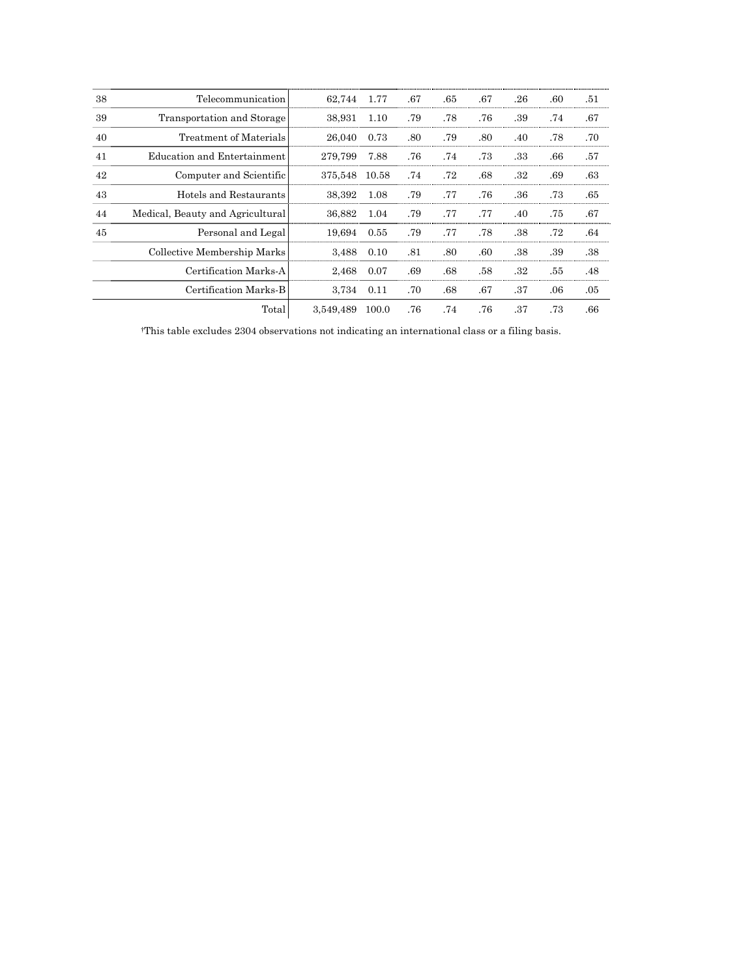| 38 | Telecommunication                | 62,744    | 1.77  | .67 | .65 | .67 | .26 | .60 | .51 |
|----|----------------------------------|-----------|-------|-----|-----|-----|-----|-----|-----|
| 39 | Transportation and Storage       | 38,931    | 1.10  | .79 | .78 | .76 | .39 | .74 | .67 |
| 40 | Treatment of Materials           | 26,040    | 0.73  | .80 | .79 | .80 | .40 | .78 | .70 |
| 41 | Education and Entertainment      | 279.799   | 7.88  | .76 | .74 | .73 | .33 | .66 | .57 |
| 42 | Computer and Scientific          | 375,548   | 10.58 | .74 | .72 | .68 | .32 | .69 | .63 |
| 43 | Hotels and Restaurants           | 38,392    | 1.08  | .79 | .77 | .76 | .36 | .73 | .65 |
| 44 | Medical, Beauty and Agricultural | 36,882    | 1.04  | .79 | .77 | .77 | .40 | .75 | .67 |
| 45 | Personal and Legal               | 19.694    | 0.55  | .79 | .77 | .78 | .38 | .72 | .64 |
|    | Collective Membership Marks      | 3.488     | 0.10  | .81 | .80 | .60 | .38 | .39 | .38 |
|    | Certification Marks-A            | 2,468     | 0.07  | .69 | .68 | .58 | .32 | .55 | .48 |
|    | Certification Marks-B            | 3,734     | 0.11  | .70 | .68 | .67 | .37 | .06 | .05 |
|    | Total                            | 3.549.489 | 100.0 | .76 | .74 | .76 | .37 | .73 | .66 |

†This table excludes 2304 observations not indicating an international class or a filing basis.